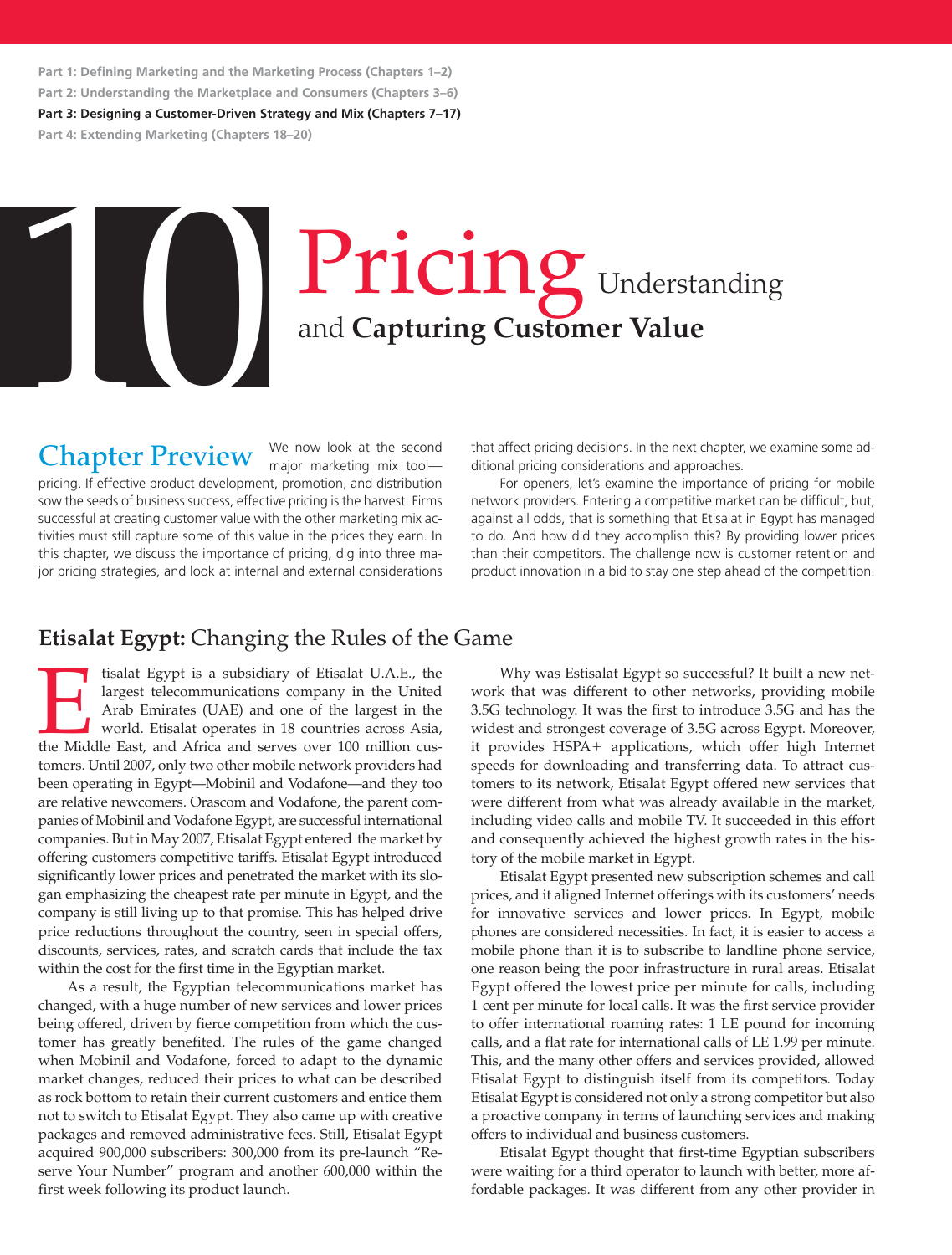**Part 1: Defining Marketing and the Marketing Process (Chapters 1–2) Part 2: Understanding the Marketplace and Consumers (Chapters 3–6) Part 3: Designing a Customer-Driven Strategy and Mix (Chapters 7–17) Part 4: Extending Marketing (Chapters 18–20)**

## 10 Pricing Understanding and **Capturing Customer Value**

### Chapter Preview We now look at the second

pricing. If effective product development, promotion, and distribution sow the seeds of business success, effective pricing is the harvest. Firms successful at creating customer value with the other marketing mix activities must still capture some of this value in the prices they earn. In this chapter, we discuss the importance of pricing, dig into three major pricing strategies, and look at internal and external considerations

that affect pricing decisions. In the next chapter, we examine some additional pricing considerations and approaches.

For openers, let's examine the importance of pricing for mobile network providers. Entering a competitive market can be difficult, but, against all odds, that is something that Etisalat in Egypt has managed to do. And how did they accomplish this? By providing lower prices than their competitors. The challenge now is customer retention and product innovation in a bid to stay one step ahead of the competition.

#### **Etisalat Egypt:** Changing the Rules of the Game

Itisalat Egypt is a subsidiary of Etisalat U.A.E., the<br>
largest telecommunications company in the United<br>
Arab Emirates (UAE) and one of the largest in the<br>
world. Etisalat operates in 18 countries across Asia,<br>
the Middle largest telecommunications company in the United Arab Emirates (UAE) and one of the largest in the world. Etisalat operates in 18 countries across Asia, tomers. Until 2007, only two other mobile network providers had been operating in Egypt—Mobinil and Vodafone—and they too are relative newcomers. Orascom and Vodafone, the parent companies of Mobinil and Vodafone Egypt, are successful international companies. But in May 2007, Etisalat Egypt entered the market by offering customers competitive tariffs. Etisalat Egypt introduced significantly lower prices and penetrated the market with its slogan emphasizing the cheapest rate per minute in Egypt, and the company is still living up to that promise. This has helped drive price reductions throughout the country, seen in special offers, discounts, services, rates, and scratch cards that include the tax within the cost for the first time in the Egyptian market.

As a result, the Egyptian telecommunications market has changed, with a huge number of new services and lower prices being offered, driven by fierce competition from which the customer has greatly benefited. The rules of the game changed when Mobinil and Vodafone, forced to adapt to the dynamic market changes, reduced their prices to what can be described as rock bottom to retain their current customers and entice them not to switch to Etisalat Egypt. They also came up with creative packages and removed administrative fees. Still, Etisalat Egypt acquired 900,000 subscribers: 300,000 from its pre-launch "Reserve Your Number" program and another 600,000 within the first week following its product launch.

Why was Estisalat Egypt so successful? It built a new network that was different to other networks, providing mobile 3.5G technology. It was the first to introduce 3.5G and has the widest and strongest coverage of 3.5G across Egypt. Moreover, it provides HSPA- applications, which offer high Internet speeds for downloading and transferring data. To attract customers to its network, Etisalat Egypt offered new services that were different from what was already available in the market, including video calls and mobile TV. It succeeded in this effort and consequently achieved the highest growth rates in the history of the mobile market in Egypt.

Etisalat Egypt presented new subscription schemes and call prices, and it aligned Internet offerings with its customers' needs for innovative services and lower prices. In Egypt, mobile phones are considered necessities. In fact, it is easier to access a mobile phone than it is to subscribe to landline phone service, one reason being the poor infrastructure in rural areas. Etisalat Egypt offered the lowest price per minute for calls, including 1 cent per minute for local calls. It was the first service provider to offer international roaming rates: 1 LE pound for incoming calls, and a flat rate for international calls of LE 1.99 per minute. This, and the many other offers and services provided, allowed Etisalat Egypt to distinguish itself from its competitors. Today Etisalat Egypt is considered not only a strong competitor but also a proactive company in terms of launching services and making offers to individual and business customers.

Etisalat Egypt thought that first-time Egyptian subscribers were waiting for a third operator to launch with better, more affordable packages. It was different from any other provider in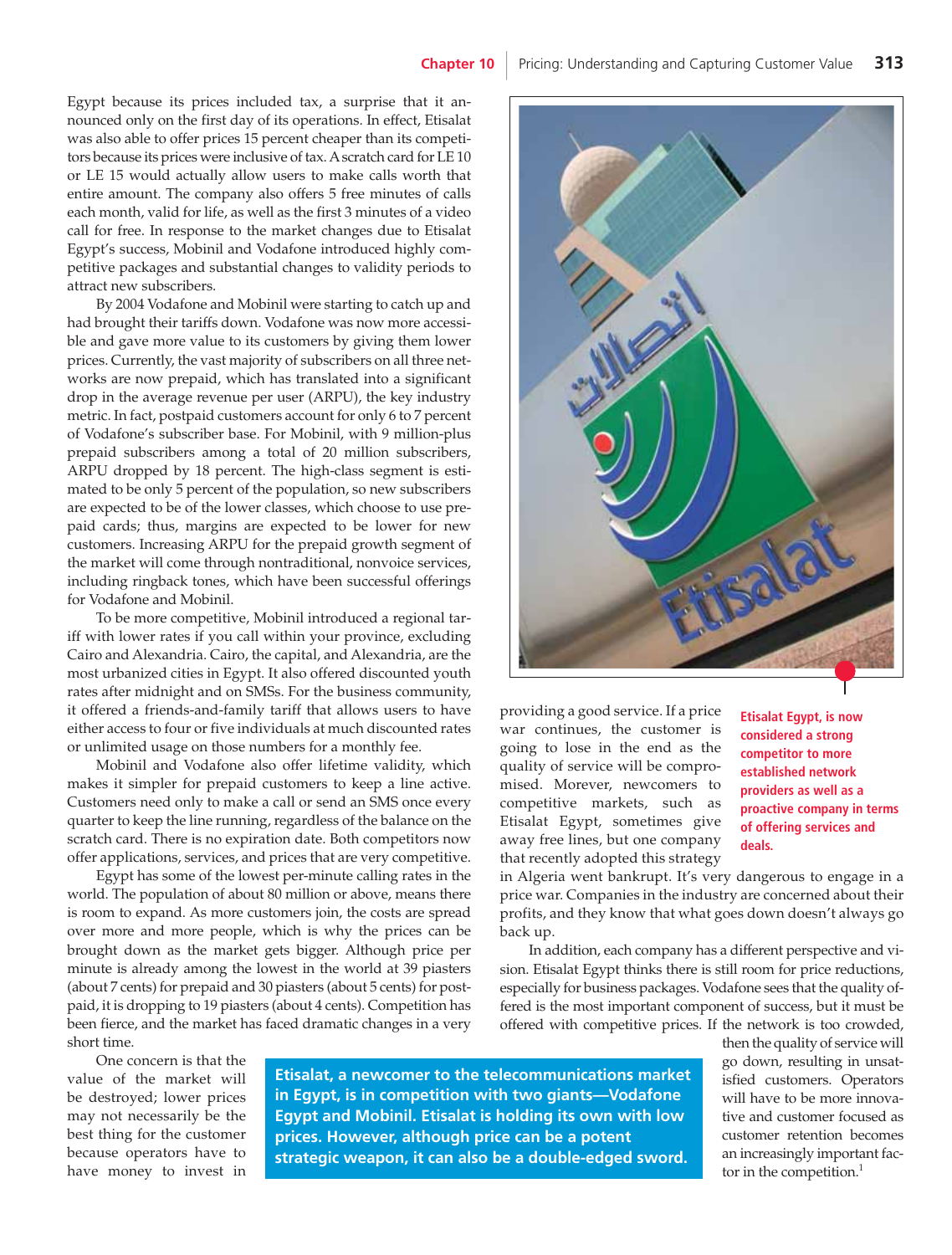Egypt because its prices included tax, a surprise that it announced only on the first day of its operations. In effect, Etisalat was also able to offer prices 15 percent cheaper than its competitors because its prices were inclusive of tax. Ascratch card for LE 10 or LE 15 would actually allow users to make calls worth that entire amount. The company also offers 5 free minutes of calls each month, valid for life, as well as the first 3 minutes of a video call for free. In response to the market changes due to Etisalat Egypt's success, Mobinil and Vodafone introduced highly competitive packages and substantial changes to validity periods to attract new subscribers.

By 2004 Vodafone and Mobinil were starting to catch up and had brought their tariffs down. Vodafone was now more accessible and gave more value to its customers by giving them lower prices. Currently, the vast majority of subscribers on all three networks are now prepaid, which has translated into a significant drop in the average revenue per user (ARPU), the key industry metric. In fact, postpaid customers account for only 6 to 7 percent of Vodafone's subscriber base. For Mobinil, with 9 million-plus prepaid subscribers among a total of 20 million subscribers, ARPU dropped by 18 percent. The high-class segment is estimated to be only 5 percent of the population, so new subscribers are expected to be of the lower classes, which choose to use prepaid cards; thus, margins are expected to be lower for new customers. Increasing ARPU for the prepaid growth segment of the market will come through nontraditional, nonvoice services, including ringback tones, which have been successful offerings for Vodafone and Mobinil.

To be more competitive, Mobinil introduced a regional tariff with lower rates if you call within your province, excluding Cairo and Alexandria. Cairo, the capital, and Alexandria, are the most urbanized cities in Egypt. It also offered discounted youth rates after midnight and on SMSs. For the business community, it offered a friends-and-family tariff that allows users to have either access to four or five individuals at much discounted rates or unlimited usage on those numbers for a monthly fee.

Mobinil and Vodafone also offer lifetime validity, which makes it simpler for prepaid customers to keep a line active. Customers need only to make a call or send an SMS once every quarter to keep the line running, regardless of the balance on the scratch card. There is no expiration date. Both competitors now offer applications, services, and prices that are very competitive.

Egypt has some of the lowest per-minute calling rates in the world. The population of about 80 million or above, means there is room to expand. As more customers join, the costs are spread over more and more people, which is why the prices can be brought down as the market gets bigger. Although price per minute is already among the lowest in the world at 39 piasters (about 7 cents) for prepaid and 30 piasters (about 5 cents) for postpaid, it is dropping to 19 piasters (about 4 cents). Competition has been fierce, and the market has faced dramatic changes in a very short time.

One concern is that the value of the market will be destroyed; lower prices may not necessarily be the best thing for the customer because operators have to have money to invest in

**Etisalat, a newcomer to the telecommunications market in Egypt, is in competition with two giants—Vodafone Egypt and Mobinil. Etisalat is holding its own with low prices. However, although price can be a potent strategic weapon, it can also be a double-edged sword.**



providing a good service. If a price war continues, the customer is going to lose in the end as the quality of service will be compromised. Morever, newcomers to competitive markets, such as Etisalat Egypt, sometimes give away free lines, but one company that recently adopted this strategy

**Etisalat Egypt, is now considered a strong competitor to more established network providers as well as a proactive company in terms of offering services and deals.**

in Algeria went bankrupt. It's very dangerous to engage in a price war. Companies in the industry are concerned about their profits, and they know that what goes down doesn't always go back up.

In addition, each company has a different perspective and vision. Etisalat Egypt thinks there is still room for price reductions, especially for business packages. Vodafone sees that the quality offered is the most important component of success, but it must be offered with competitive prices. If the network is too crowded,

> then the quality of service will go down, resulting in unsatisfied customers. Operators will have to be more innovative and customer focused as customer retention becomes an increasingly important factor in the competition.<sup>1</sup>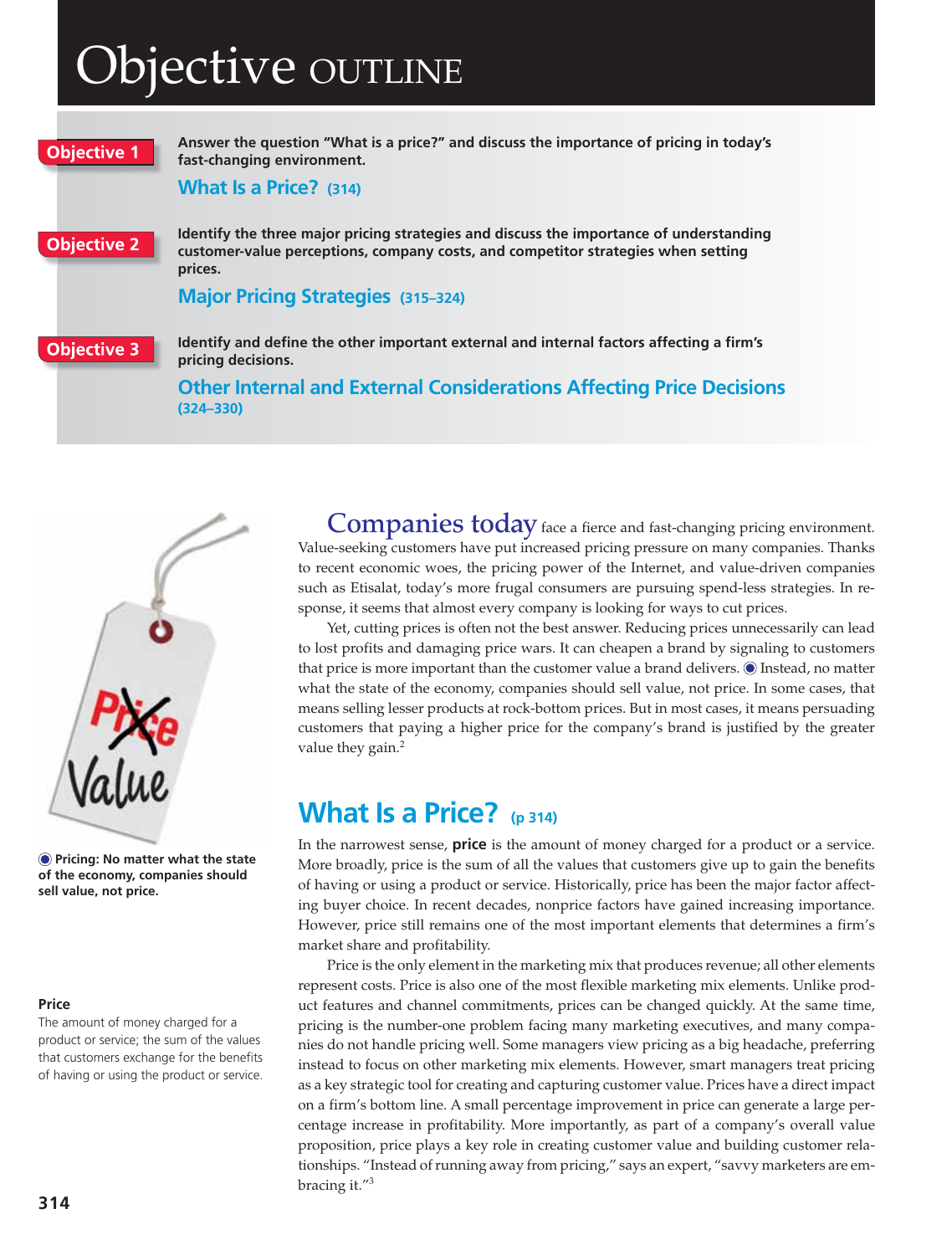# Objective OUTLINE





**Pricing: No matter what the state of the economy, companies should sell value, not price.**

#### **Price**

The amount of money charged for a product or service; the sum of the values that customers exchange for the benefits of having or using the product or service.

**Companies today**face a fierce and fast-changing pricing environment. Value-seeking customers have put increased pricing pressure on many companies. Thanks to recent economic woes, the pricing power of the Internet, and value-driven companies such as Etisalat, today's more frugal consumers are pursuing spend-less strategies. In response, it seems that almost every company is looking for ways to cut prices.

Yet, cutting prices is often not the best answer. Reducing prices unnecessarily can lead to lost profits and damaging price wars. It can cheapen a brand by signaling to customers that price is more important than the customer value a brand delivers.  $\bigcirc$  Instead, no matter what the state of the economy, companies should sell value, not price. In some cases, that means selling lesser products at rock-bottom prices. But in most cases, it means persuading customers that paying a higher price for the company's brand is justified by the greater value they gain. $<sup>2</sup>$ </sup>

### **What Is a Price? (p 314)**

In the narrowest sense, **price** is the amount of money charged for a product or a service. More broadly, price is the sum of all the values that customers give up to gain the benefits of having or using a product or service. Historically, price has been the major factor affecting buyer choice. In recent decades, nonprice factors have gained increasing importance. However, price still remains one of the most important elements that determines a firm's market share and profitability.

Price is the only element in the marketing mix that produces revenue; all other elements represent costs. Price is also one of the most flexible marketing mix elements. Unlike product features and channel commitments, prices can be changed quickly. At the same time, pricing is the number-one problem facing many marketing executives, and many companies do not handle pricing well. Some managers view pricing as a big headache, preferring instead to focus on other marketing mix elements. However, smart managers treat pricing as a key strategic tool for creating and capturing customer value. Prices have a direct impact on a firm's bottom line. A small percentage improvement in price can generate a large percentage increase in profitability. More importantly, as part of a company's overall value proposition, price plays a key role in creating customer value and building customer relationships. "Instead of running away from pricing," says an expert, "savvy marketers are embracing it."3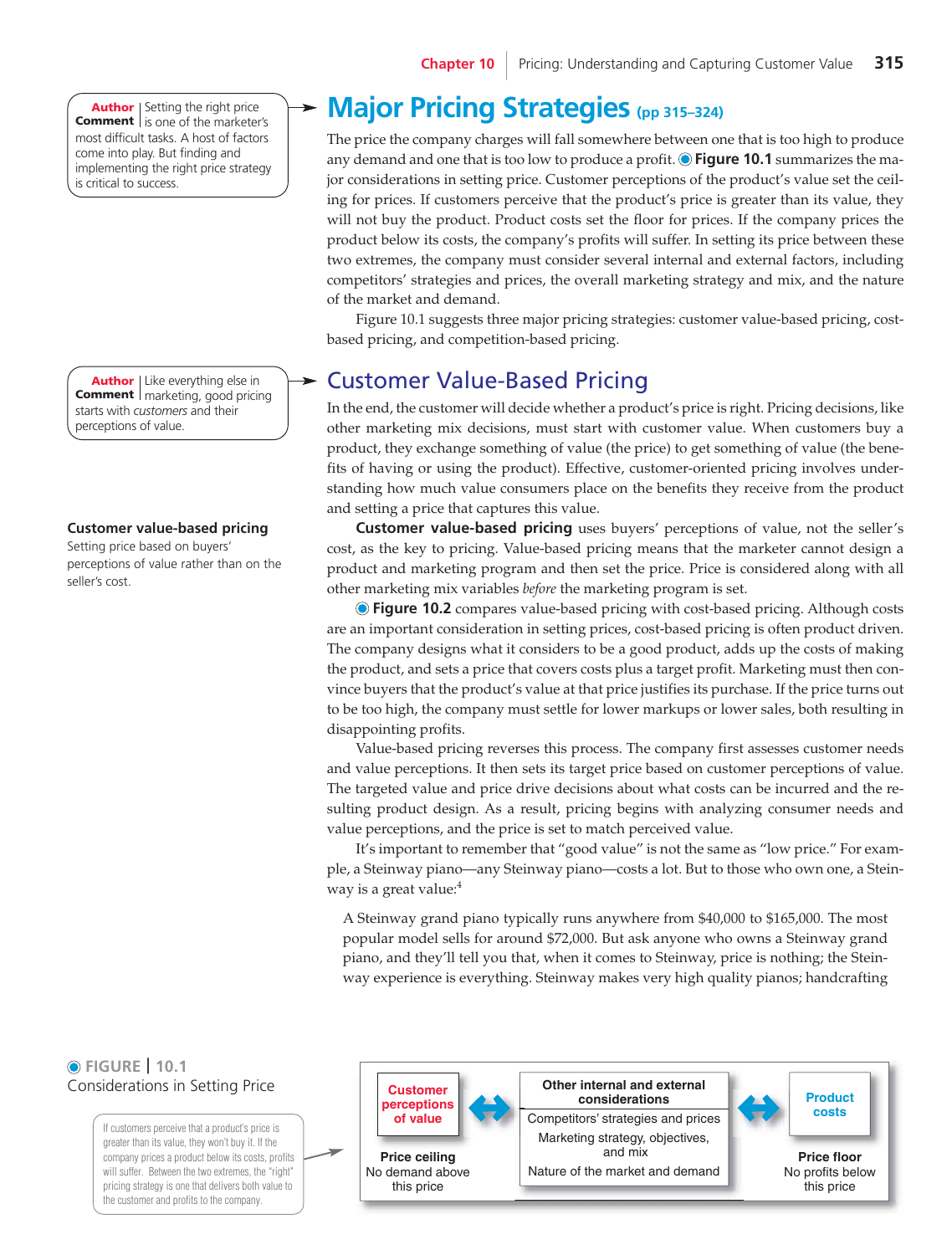**Author** | Setting the right price **Comment** I is one of the marketer's most difficult tasks. A host of factors come into play. But finding and implementing the right price strategy is critical to success.

**Author** | Like everything else in **Comment** | marketing, good pricing starts with *customers* and their perceptions of value.

**Customer value-based pricing** Setting price based on buyers' perceptions of value rather than on the seller's cost.

### **Major Pricing Strategies (pp 315-324)**

The price the company charges will fall somewhere between one that is too high to produce any demand and one that is too low to produce a profit. **Figure 10.1** summarizes the major considerations in setting price. Customer perceptions of the product's value set the ceiling for prices. If customers perceive that the product's price is greater than its value, they will not buy the product. Product costs set the floor for prices. If the company prices the product below its costs, the company's profits will suffer. In setting its price between these two extremes, the company must consider several internal and external factors, including competitors' strategies and prices, the overall marketing strategy and mix, and the nature of the market and demand.

Figure 10.1 suggests three major pricing strategies: customer value-based pricing, costbased pricing, and competition-based pricing.

### Customer Value-Based Pricing

In the end, the customer will decide whether a product's price is right. Pricing decisions, like other marketing mix decisions, must start with customer value. When customers buy a product, they exchange something of value (the price) to get something of value (the benefits of having or using the product). Effective, customer-oriented pricing involves understanding how much value consumers place on the benefits they receive from the product and setting a price that captures this value.

**Customer value-based pricing** uses buyers' perceptions of value, not the seller's cost, as the key to pricing. Value-based pricing means that the marketer cannot design a product and marketing program and then set the price. Price is considered along with all other marketing mix variables *before* the marketing program is set.

**Figure 10.2** compares value-based pricing with cost-based pricing. Although costs are an important consideration in setting prices, cost-based pricing is often product driven. The company designs what it considers to be a good product, adds up the costs of making the product, and sets a price that covers costs plus a target profit. Marketing must then convince buyers that the product's value at that price justifies its purchase. If the price turns out to be too high, the company must settle for lower markups or lower sales, both resulting in disappointing profits.

Value-based pricing reverses this process. The company first assesses customer needs and value perceptions. It then sets its target price based on customer perceptions of value. The targeted value and price drive decisions about what costs can be incurred and the resulting product design. As a result, pricing begins with analyzing consumer needs and value perceptions, and the price is set to match perceived value.

It's important to remember that "good value" is not the same as "low price." For example, a Steinway piano—any Steinway piano—costs a lot. But to those who own one, a Steinway is a great value:<sup>4</sup>

A Steinway grand piano typically runs anywhere from \$40,000 to \$165,000. The most popular model sells for around \$72,000. But ask anyone who owns a Steinway grand piano, and they'll tell you that, when it comes to Steinway, price is nothing; the Steinway experience is everything. Steinway makes very high quality pianos; handcrafting

#### **FIGURE** | **10.1** Considerations in Setting Price

If customers perceive that a product's price is greater than its value, they won't buy it. If the company prices a product below its costs, profits will suffer. Between the two extremes, the "right" pricing strategy is one that delivers both value to the customer and profits to the company.

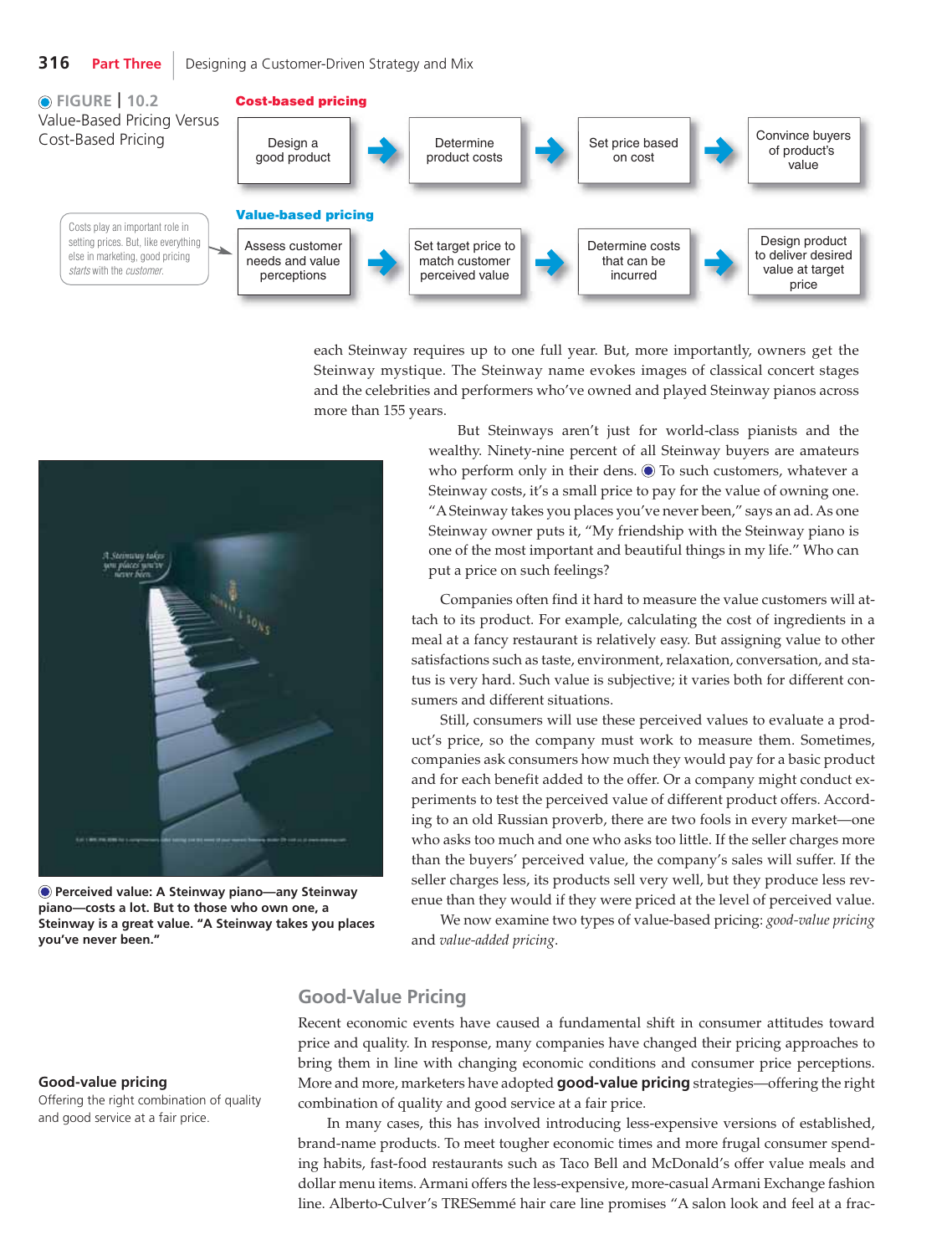**316 Part Three** Designing a Customer-Driven Strategy and Mix



each Steinway requires up to one full year. But, more importantly, owners get the Steinway mystique. The Steinway name evokes images of classical concert stages and the celebrities and performers who've owned and played Steinway pianos across more than 155 years.



**Perceived value: A Steinway piano—any Steinway piano—costs a lot. But to those who own one, a Steinway is a great value. "A Steinway takes you places you've never been."**

But Steinways aren't just for world-class pianists and the wealthy. Ninety-nine percent of all Steinway buyers are amateurs who perform only in their dens.  $\odot$  To such customers, whatever a Steinway costs, it's a small price to pay for the value of owning one. "A Steinway takes you places you've never been," says an ad. As one Steinway owner puts it, "My friendship with the Steinway piano is one of the most important and beautiful things in my life." Who can put a price on such feelings?

Companies often find it hard to measure the value customers will attach to its product. For example, calculating the cost of ingredients in a meal at a fancy restaurant is relatively easy. But assigning value to other satisfactions such as taste, environment, relaxation, conversation, and status is very hard. Such value is subjective; it varies both for different consumers and different situations.

Still, consumers will use these perceived values to evaluate a product's price, so the company must work to measure them. Sometimes, companies ask consumers how much they would pay for a basic product and for each benefit added to the offer. Or a company might conduct experiments to test the perceived value of different product offers. According to an old Russian proverb, there are two fools in every market—one who asks too much and one who asks too little. If the seller charges more than the buyers' perceived value, the company's sales will suffer. If the seller charges less, its products sell very well, but they produce less revenue than they would if they were priced at the level of perceived value.

We now examine two types of value-based pricing: *good-value pricing* and *value-added pricing*.

#### **Good-Value Pricing**

Recent economic events have caused a fundamental shift in consumer attitudes toward price and quality. In response, many companies have changed their pricing approaches to bring them in line with changing economic conditions and consumer price perceptions. More and more, marketers have adopted **good-value pricing** strategies—offering the right combination of quality and good service at a fair price.

In many cases, this has involved introducing less-expensive versions of established, brand-name products. To meet tougher economic times and more frugal consumer spending habits, fast-food restaurants such as Taco Bell and McDonald's offer value meals and dollar menu items. Armani offers the less-expensive, more-casual Armani Exchange fashion line. Alberto-Culver's TRESemmé hair care line promises "A salon look and feel at a frac-

#### **Good-value pricing**

Offering the right combination of quality and good service at a fair price.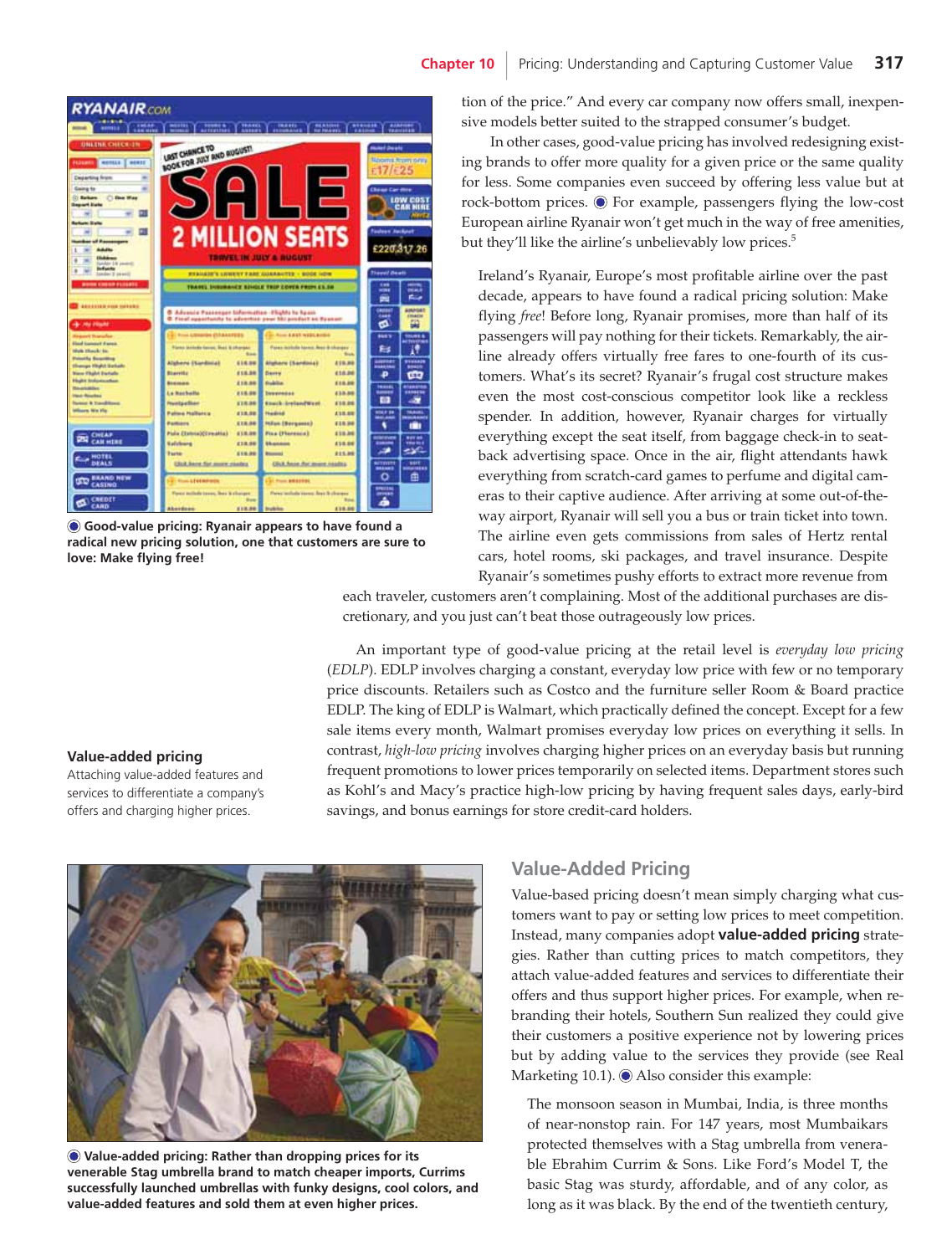

**Good-value pricing: Ryanair appears to have found a radical new pricing solution, one that customers are sure to love: Make flying free!**

tion of the price." And every car company now offers small, inexpensive models better suited to the strapped consumer's budget.

In other cases, good-value pricing has involved redesigning existing brands to offer more quality for a given price or the same quality for less. Some companies even succeed by offering less value but at rock-bottom prices.  $\odot$  For example, passengers flying the low-cost European airline Ryanair won't get much in the way of free amenities, but they'll like the airline's unbelievably low prices.<sup>5</sup>

Ireland's Ryanair, Europe's most profitable airline over the past decade, appears to have found a radical pricing solution: Make flying *free*! Before long, Ryanair promises, more than half of its passengers will pay nothing for their tickets. Remarkably, the airline already offers virtually free fares to one-fourth of its customers. What's its secret? Ryanair's frugal cost structure makes even the most cost-conscious competitor look like a reckless spender. In addition, however, Ryanair charges for virtually everything except the seat itself, from baggage check-in to seatback advertising space. Once in the air, flight attendants hawk everything from scratch-card games to perfume and digital cameras to their captive audience. After arriving at some out-of-theway airport, Ryanair will sell you a bus or train ticket into town. The airline even gets commissions from sales of Hertz rental cars, hotel rooms, ski packages, and travel insurance. Despite Ryanair's sometimes pushy efforts to extract more revenue from

each traveler, customers aren't complaining. Most of the additional purchases are discretionary, and you just can't beat those outrageously low prices.

An important type of good-value pricing at the retail level is *everyday low pricing* (*EDLP*). EDLP involves charging a constant, everyday low price with few or no temporary price discounts. Retailers such as Costco and the furniture seller Room & Board practice EDLP. The king of EDLP is Walmart, which practically defined the concept. Except for a few sale items every month, Walmart promises everyday low prices on everything it sells. In contrast, *high-low pricing* involves charging higher prices on an everyday basis but running frequent promotions to lower prices temporarily on selected items. Department stores such as Kohl's and Macy's practice high-low pricing by having frequent sales days, early-bird savings, and bonus earnings for store credit-card holders.

#### **Value-added pricing**

Attaching value-added features and services to differentiate a company's offers and charging higher prices.



**Value-added pricing: Rather than dropping prices for its venerable Stag umbrella brand to match cheaper imports, Currims successfully launched umbrellas with funky designs, cool colors, and value-added features and sold them at even higher prices.**

#### **Value-Added Pricing**

Value-based pricing doesn't mean simply charging what customers want to pay or setting low prices to meet competition. Instead, many companies adopt **value-added pricing** strategies. Rather than cutting prices to match competitors, they attach value-added features and services to differentiate their offers and thus support higher prices. For example, when rebranding their hotels, Southern Sun realized they could give their customers a positive experience not by lowering prices but by adding value to the services they provide (see Real Marketing 10.1).  $\bigcirc$  Also consider this example:

The monsoon season in Mumbai, India, is three months of near-nonstop rain. For 147 years, most Mumbaikars protected themselves with a Stag umbrella from venerable Ebrahim Currim & Sons. Like Ford's Model T, the basic Stag was sturdy, affordable, and of any color, as long as it was black. By the end of the twentieth century,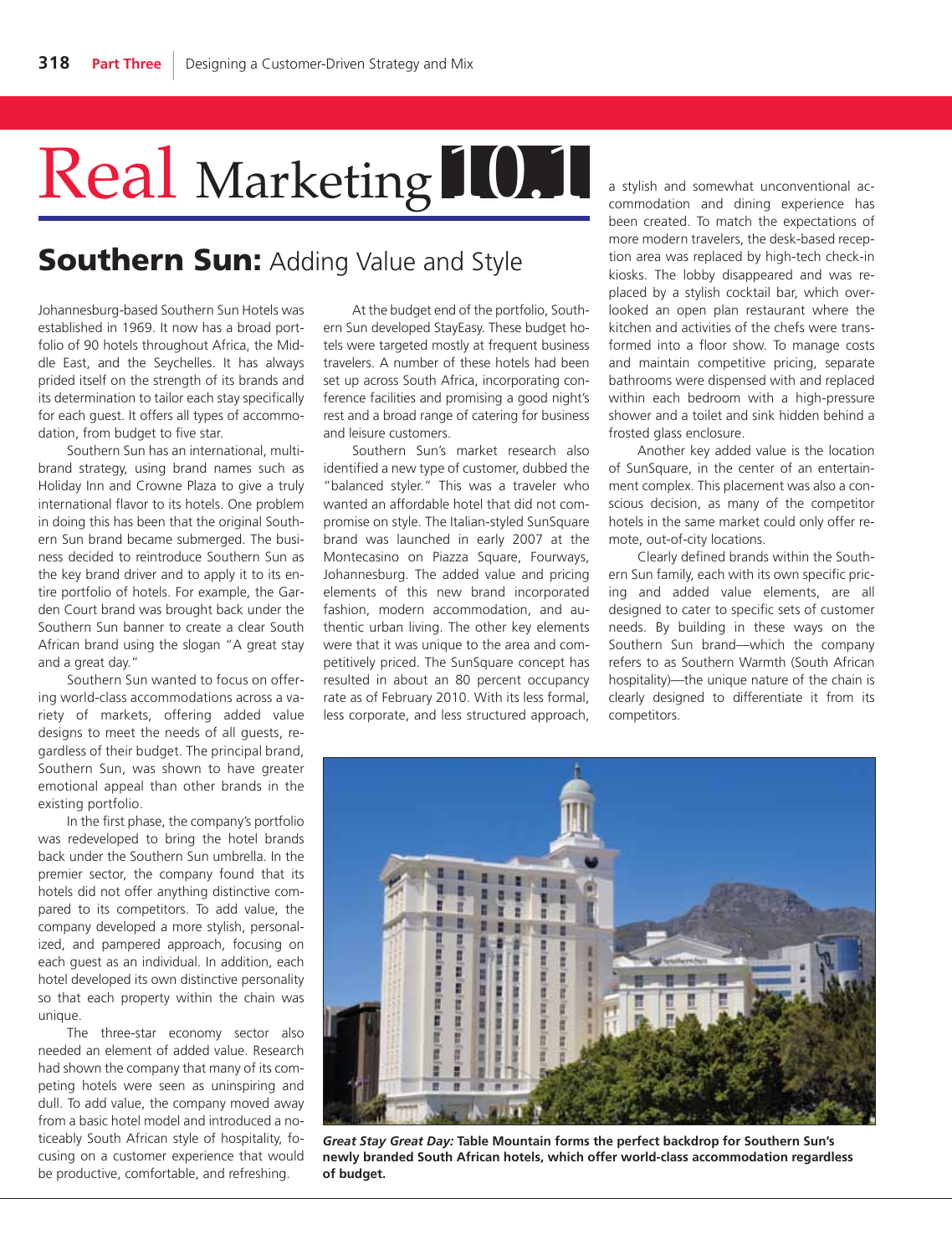# Real Marketing 10.1

### **Southern Sun: Adding Value and Style**

Johannesburg-based Southern Sun Hotels was established in 1969. It now has a broad portfolio of 90 hotels throughout Africa, the Middle East, and the Seychelles. It has always prided itself on the strength of its brands and its determination to tailor each stay specifically for each guest. It offers all types of accommodation, from budget to five star.

Southern Sun has an international, multibrand strategy, using brand names such as Holiday Inn and Crowne Plaza to give a truly international flavor to its hotels. One problem in doing this has been that the original Southern Sun brand became submerged. The business decided to reintroduce Southern Sun as the key brand driver and to apply it to its entire portfolio of hotels. For example, the Garden Court brand was brought back under the Southern Sun banner to create a clear South African brand using the slogan "A great stay and a great day."

Southern Sun wanted to focus on offering world-class accommodations across a variety of markets, offering added value designs to meet the needs of all guests, regardless of their budget. The principal brand, Southern Sun, was shown to have greater emotional appeal than other brands in the existing portfolio.

In the first phase, the company's portfolio was redeveloped to bring the hotel brands back under the Southern Sun umbrella. In the premier sector, the company found that its hotels did not offer anything distinctive compared to its competitors. To add value, the company developed a more stylish, personalized, and pampered approach, focusing on each guest as an individual. In addition, each hotel developed its own distinctive personality so that each property within the chain was unique.

The three-star economy sector also needed an element of added value. Research had shown the company that many of its competing hotels were seen as uninspiring and dull. To add value, the company moved away from a basic hotel model and introduced a noticeably South African style of hospitality, focusing on a customer experience that would be productive, comfortable, and refreshing.

At the budget end of the portfolio, Southern Sun developed StayEasy. These budget hotels were targeted mostly at frequent business travelers. A number of these hotels had been set up across South Africa, incorporating conference facilities and promising a good night's rest and a broad range of catering for business and leisure customers.

Southern Sun's market research also identified a new type of customer, dubbed the "balanced styler." This was a traveler who wanted an affordable hotel that did not compromise on style. The Italian-styled SunSquare brand was launched in early 2007 at the Montecasino on Piazza Square, Fourways, Johannesburg. The added value and pricing elements of this new brand incorporated fashion, modern accommodation, and authentic urban living. The other key elements were that it was unique to the area and competitively priced. The SunSquare concept has resulted in about an 80 percent occupancy rate as of February 2010. With its less formal, less corporate, and less structured approach,

a stylish and somewhat unconventional accommodation and dining experience has been created. To match the expectations of more modern travelers, the desk-based reception area was replaced by high-tech check-in kiosks. The lobby disappeared and was replaced by a stylish cocktail bar, which overlooked an open plan restaurant where the kitchen and activities of the chefs were transformed into a floor show. To manage costs and maintain competitive pricing, separate bathrooms were dispensed with and replaced within each bedroom with a high-pressure shower and a toilet and sink hidden behind a frosted glass enclosure.

Another key added value is the location of SunSquare, in the center of an entertainment complex. This placement was also a conscious decision, as many of the competitor hotels in the same market could only offer remote, out-of-city locations.

Clearly defined brands within the Southern Sun family, each with its own specific pricing and added value elements, are all designed to cater to specific sets of customer needs. By building in these ways on the Southern Sun brand—which the company refers to as Southern Warmth (South African hospitality)—the unique nature of the chain is clearly designed to differentiate it from its competitors.



*Great Stay Great Day:* **Table Mountain forms the perfect backdrop for Southern Sun's newly branded South African hotels, which offer world-class accommodation regardless of budget.**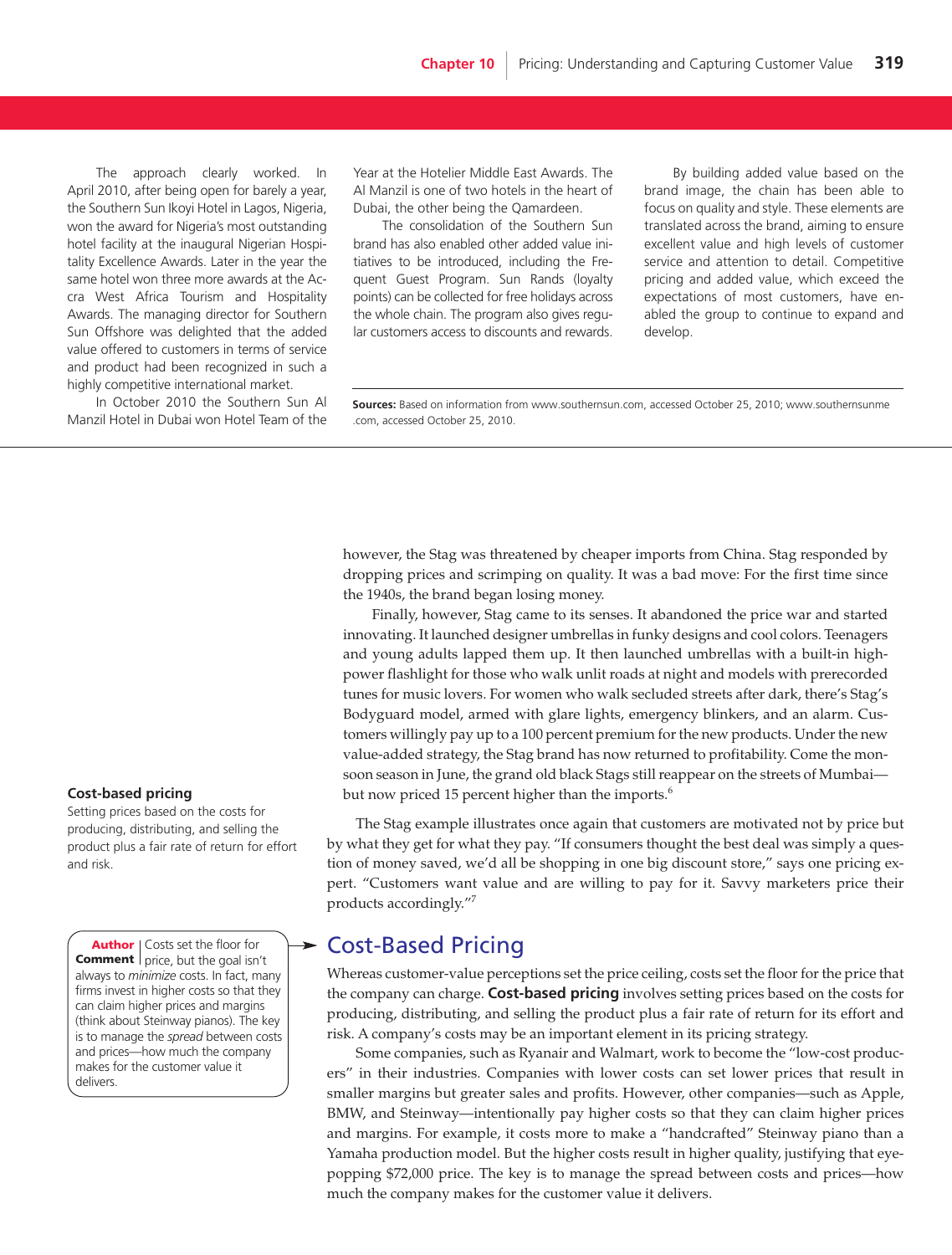The approach clearly worked. In April 2010, after being open for barely a year, the Southern Sun Ikoyi Hotel in Lagos, Nigeria, won the award for Nigeria's most outstanding hotel facility at the inaugural Nigerian Hospitality Excellence Awards. Later in the year the same hotel won three more awards at the Accra West Africa Tourism and Hospitality Awards. The managing director for Southern Sun Offshore was delighted that the added value offered to customers in terms of service and product had been recognized in such a highly competitive international market.

In October 2010 the Southern Sun Al Manzil Hotel in Dubai won Hotel Team of the

Year at the Hotelier Middle East Awards. The Al Manzil is one of two hotels in the heart of Dubai, the other being the Qamardeen.

The consolidation of the Southern Sun brand has also enabled other added value initiatives to be introduced, including the Frequent Guest Program. Sun Rands (loyalty points) can be collected for free holidays across the whole chain. The program also gives regular customers access to discounts and rewards.

By building added value based on the brand image, the chain has been able to focus on quality and style. These elements are translated across the brand, aiming to ensure excellent value and high levels of customer service and attention to detail. Competitive pricing and added value, which exceed the expectations of most customers, have enabled the group to continue to expand and develop.

**Sources:** Based on information from www.southernsun.com, accessed October 25, 2010; www.southernsunme .com, accessed October 25, 2010.

however, the Stag was threatened by cheaper imports from China. Stag responded by dropping prices and scrimping on quality. It was a bad move: For the first time since the 1940s, the brand began losing money.

Finally, however, Stag came to its senses. It abandoned the price war and started innovating. It launched designer umbrellas in funky designs and cool colors. Teenagers and young adults lapped them up. It then launched umbrellas with a built-in highpower flashlight for those who walk unlit roads at night and models with prerecorded tunes for music lovers. For women who walk secluded streets after dark, there's Stag's Bodyguard model, armed with glare lights, emergency blinkers, and an alarm. Customers willingly pay up to a 100 percent premium for the new products. Under the new value-added strategy, the Stag brand has now returned to profitability. Come the monsoon season in June, the grand old black Stags still reappear on the streets of Mumbai but now priced 15 percent higher than the imports.<sup>6</sup>

The Stag example illustrates once again that customers are motivated not by price but by what they get for what they pay. "If consumers thought the best deal was simply a question of money saved, we'd all be shopping in one big discount store," says one pricing expert. "Customers want value and are willing to pay for it. Savvy marketers price their products accordingly."7

#### Cost-Based Pricing

Whereas customer-value perceptions set the price ceiling, costs set the floor for the price that the company can charge. **Cost-based pricing** involves setting prices based on the costs for producing, distributing, and selling the product plus a fair rate of return for its effort and risk. A company's costs may be an important element in its pricing strategy.

Some companies, such as Ryanair and Walmart, work to become the "low-cost producers" in their industries. Companies with lower costs can set lower prices that result in smaller margins but greater sales and profits. However, other companies—such as Apple, BMW, and Steinway—intentionally pay higher costs so that they can claim higher prices and margins. For example, it costs more to make a "handcrafted" Steinway piano than a Yamaha production model. But the higher costs result in higher quality, justifying that eyepopping \$72,000 price. The key is to manage the spread between costs and prices—how much the company makes for the customer value it delivers.

#### **Cost-based pricing**

Setting prices based on the costs for producing, distributing, and selling the product plus a fair rate of return for effort and risk.

**Author** | Costs set the floor for **Comment** | price, but the goal isn't always to *minimize* costs. In fact, many firms invest in higher costs so that they can claim higher prices and margins (think about Steinway pianos). The key is to manage the *spread* between costs and prices—how much the company makes for the customer value it delivers.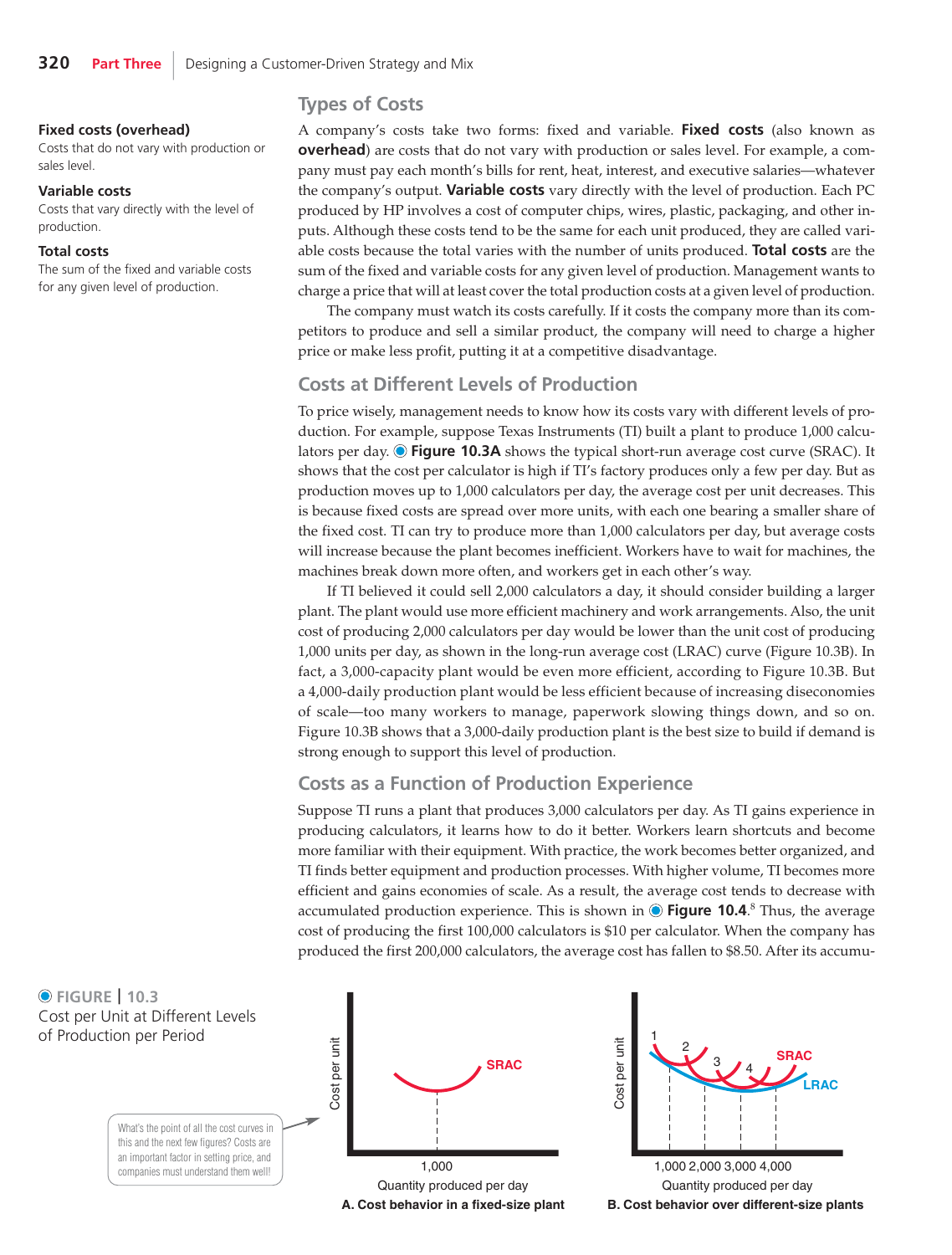#### **Fixed costs (overhead)**

Costs that do not vary with production or sales level.

#### **Variable costs**

Costs that vary directly with the level of production.

#### **Total costs**

The sum of the fixed and variable costs for any given level of production.

#### **Types of Costs**

A company's costs take two forms: fixed and variable. **Fixed costs** (also known as **overhead**) are costs that do not vary with production or sales level. For example, a company must pay each month's bills for rent, heat, interest, and executive salaries—whatever the company's output. **Variable costs** vary directly with the level of production. Each PC produced by HP involves a cost of computer chips, wires, plastic, packaging, and other inputs. Although these costs tend to be the same for each unit produced, they are called variable costs because the total varies with the number of units produced. **Total costs** are the sum of the fixed and variable costs for any given level of production. Management wants to charge a price that will at least cover the total production costs at a given level of production.

The company must watch its costs carefully. If it costs the company more than its competitors to produce and sell a similar product, the company will need to charge a higher price or make less profit, putting it at a competitive disadvantage.

#### **Costs at Different Levels of Production**

To price wisely, management needs to know how its costs vary with different levels of production. For example, suppose Texas Instruments (TI) built a plant to produce 1,000 calculators per day. **Figure 10.3A** shows the typical short-run average cost curve (SRAC). It shows that the cost per calculator is high if TI's factory produces only a few per day. But as production moves up to 1,000 calculators per day, the average cost per unit decreases. This is because fixed costs are spread over more units, with each one bearing a smaller share of the fixed cost. TI can try to produce more than 1,000 calculators per day, but average costs will increase because the plant becomes inefficient. Workers have to wait for machines, the machines break down more often, and workers get in each other's way.

If TI believed it could sell 2,000 calculators a day, it should consider building a larger plant. The plant would use more efficient machinery and work arrangements. Also, the unit cost of producing 2,000 calculators per day would be lower than the unit cost of producing 1,000 units per day, as shown in the long-run average cost (LRAC) curve (Figure 10.3B). In fact, a 3,000-capacity plant would be even more efficient, according to Figure 10.3B. But a 4,000-daily production plant would be less efficient because of increasing diseconomies of scale—too many workers to manage, paperwork slowing things down, and so on. Figure 10.3B shows that a 3,000-daily production plant is the best size to build if demand is strong enough to support this level of production.

#### **Costs as a Function of Production Experience**

Suppose TI runs a plant that produces 3,000 calculators per day. As TI gains experience in producing calculators, it learns how to do it better. Workers learn shortcuts and become more familiar with their equipment. With practice, the work becomes better organized, and TI finds better equipment and production processes. With higher volume, TI becomes more efficient and gains economies of scale. As a result, the average cost tends to decrease with accumulated production experience. This is shown in **Figure 10.4**. <sup>8</sup> Thus, the average cost of producing the first 100,000 calculators is \$10 per calculator. When the company has produced the first 200,000 calculators, the average cost has fallen to \$8.50. After its accumu-

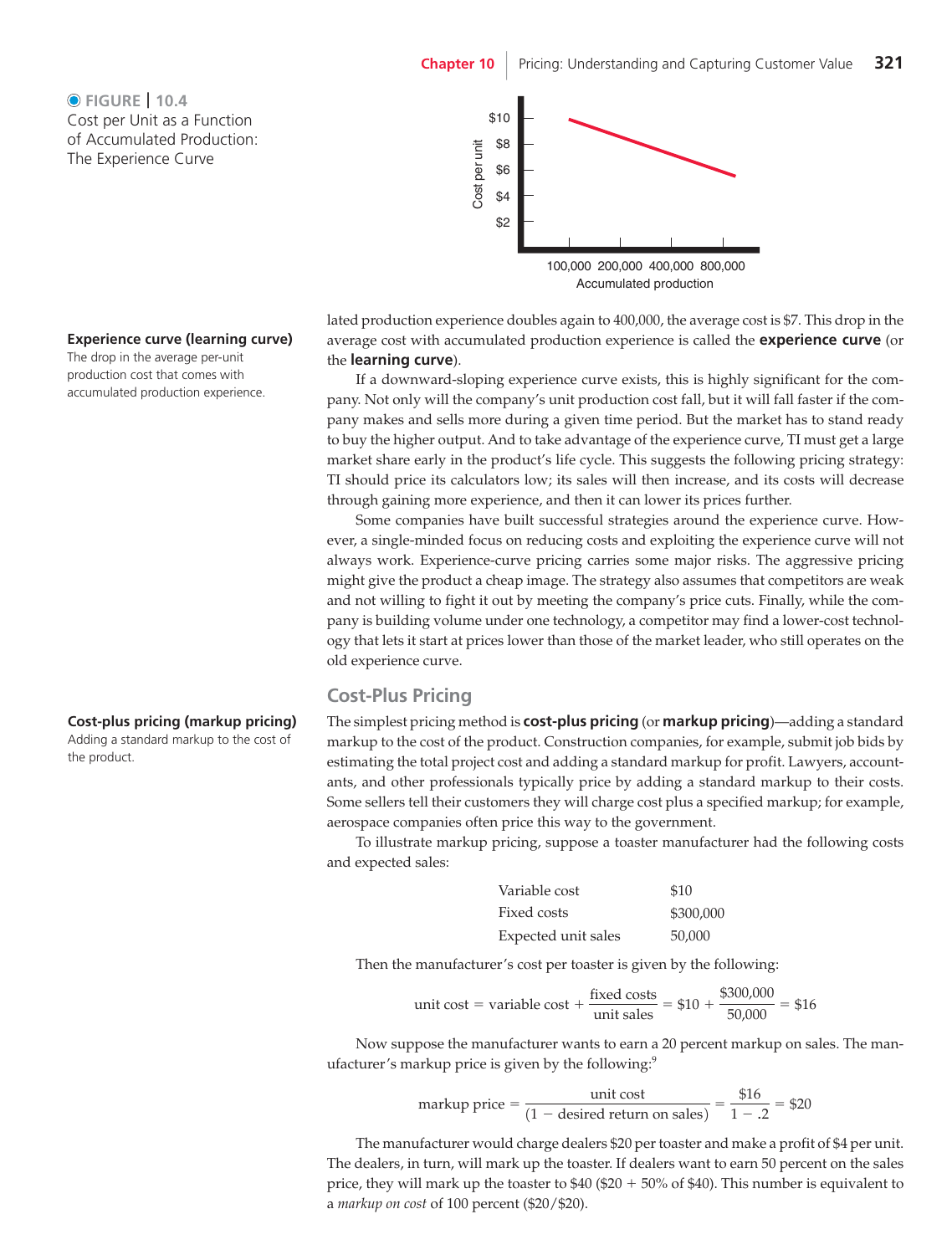#### **FIGURE** | **10.4** Cost per Unit as a Function of Accumulated Production: The Experience Curve



lated production experience doubles again to 400,000, the average cost is \$7. This drop in the average cost with accumulated production experience is called the **experience curve** (or the **learning curve**).

If a downward-sloping experience curve exists, this is highly significant for the company. Not only will the company's unit production cost fall, but it will fall faster if the company makes and sells more during a given time period. But the market has to stand ready to buy the higher output. And to take advantage of the experience curve, TI must get a large market share early in the product's life cycle. This suggests the following pricing strategy: TI should price its calculators low; its sales will then increase, and its costs will decrease through gaining more experience, and then it can lower its prices further.

Some companies have built successful strategies around the experience curve. However, a single-minded focus on reducing costs and exploiting the experience curve will not always work. Experience-curve pricing carries some major risks. The aggressive pricing might give the product a cheap image. The strategy also assumes that competitors are weak and not willing to fight it out by meeting the company's price cuts. Finally, while the company is building volume under one technology, a competitor may find a lower-cost technology that lets it start at prices lower than those of the market leader, who still operates on the old experience curve.

#### **Cost-Plus Pricing**

The simplest pricing method is **cost-plus pricing** (or **markup pricing**)—adding a standard markup to the cost of the product. Construction companies, for example, submit job bids by estimating the total project cost and adding a standard markup for profit. Lawyers, accountants, and other professionals typically price by adding a standard markup to their costs. Some sellers tell their customers they will charge cost plus a specified markup; for example, aerospace companies often price this way to the government.

To illustrate markup pricing, suppose a toaster manufacturer had the following costs and expected sales:

| Variable cost       | \$10      |
|---------------------|-----------|
| Fixed costs         | \$300,000 |
| Expected unit sales | 50,000    |

Then the manufacturer's cost per toaster is given by the following:

unit cost = variable cost + 
$$
\frac{\text{fixed costs}}{\text{unit sales}}
$$
 = \$10 +  $\frac{\$300,000}{50,000}$  = \$16

Now suppose the manufacturer wants to earn a 20 percent markup on sales. The manufacturer's markup price is given by the following:<sup>9</sup>

$$
\text{markup price} = \frac{\text{unit cost}}{(1 - \text{desired return on sales})} = \frac{$16}{1 - .2} = $20
$$

The manufacturer would charge dealers \$20 per toaster and make a profit of \$4 per unit. The dealers, in turn, will mark up the toaster. If dealers want to earn 50 percent on the sales price, they will mark up the toaster to  $$40 ($20 + 50\%$~40).$  This number is equivalent to a *markup on cost* of 100 percent (\$20/\$20).

#### **Experience curve (learning curve)**

The drop in the average per-unit production cost that comes with accumulated production experience.

#### **Cost-plus pricing (markup pricing)**

Adding a standard markup to the cost of the product.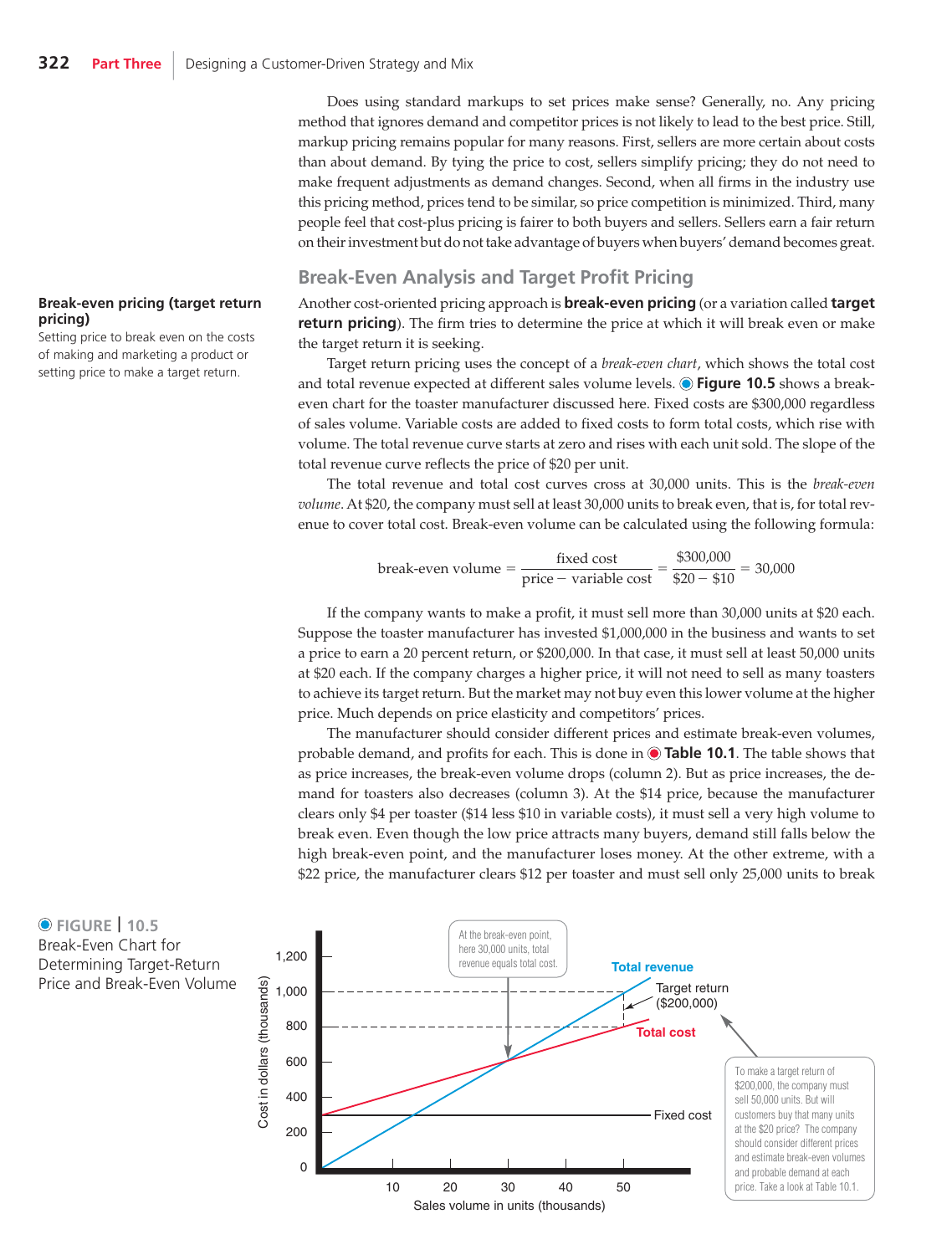#### **Break-even pricing (target return pricing)**

Setting price to break even on the costs of making and marketing a product or setting price to make a target return.

Does using standard markups to set prices make sense? Generally, no. Any pricing method that ignores demand and competitor prices is not likely to lead to the best price. Still, markup pricing remains popular for many reasons. First, sellers are more certain about costs than about demand. By tying the price to cost, sellers simplify pricing; they do not need to make frequent adjustments as demand changes. Second, when all firms in the industry use this pricing method, prices tend to be similar, so price competition is minimized. Third, many people feel that cost-plus pricing is fairer to both buyers and sellers. Sellers earn a fair return on their investment but do not take advantage of buyers when buyers' demand becomes great.

#### **Break-Even Analysis and Target Profit Pricing**

Another cost-oriented pricing approach is **break-even pricing** (or a variation called **target return pricing**). The firm tries to determine the price at which it will break even or make the target return it is seeking.

Target return pricing uses the concept of a *break-even chart*, which shows the total cost and total revenue expected at different sales volume levels.  $\bullet$  Figure 10.5 shows a breakeven chart for the toaster manufacturer discussed here. Fixed costs are \$300,000 regardless of sales volume. Variable costs are added to fixed costs to form total costs, which rise with volume. The total revenue curve starts at zero and rises with each unit sold. The slope of the total revenue curve reflects the price of \$20 per unit.

The total revenue and total cost curves cross at 30,000 units. This is the *break-even volume*. At \$20, the company must sell at least 30,000 units to break even, that is, for total revenue to cover total cost. Break-even volume can be calculated using the following formula:

break-even volume = 
$$
\frac{\text{fixed cost}}{\text{price} - \text{variable cost}} = \frac{\$300,000}{\$20 - \$10} = 30,000
$$

If the company wants to make a profit, it must sell more than 30,000 units at \$20 each. Suppose the toaster manufacturer has invested \$1,000,000 in the business and wants to set a price to earn a 20 percent return, or \$200,000. In that case, it must sell at least 50,000 units at \$20 each. If the company charges a higher price, it will not need to sell as many toasters to achieve its target return. But the market may not buy even this lower volume at the higher price. Much depends on price elasticity and competitors' prices.

The manufacturer should consider different prices and estimate break-even volumes, probable demand, and profits for each. This is done in **Table 10.1**. The table shows that as price increases, the break-even volume drops (column 2). But as price increases, the demand for toasters also decreases (column 3). At the \$14 price, because the manufacturer clears only \$4 per toaster (\$14 less \$10 in variable costs), it must sell a very high volume to break even. Even though the low price attracts many buyers, demand still falls below the high break-even point, and the manufacturer loses money. At the other extreme, with a \$22 price, the manufacturer clears \$12 per toaster and must sell only 25,000 units to break



**FIGURE** | **10.5** Break-Even Chart for Determining Target-Return Price and Break-Even Volume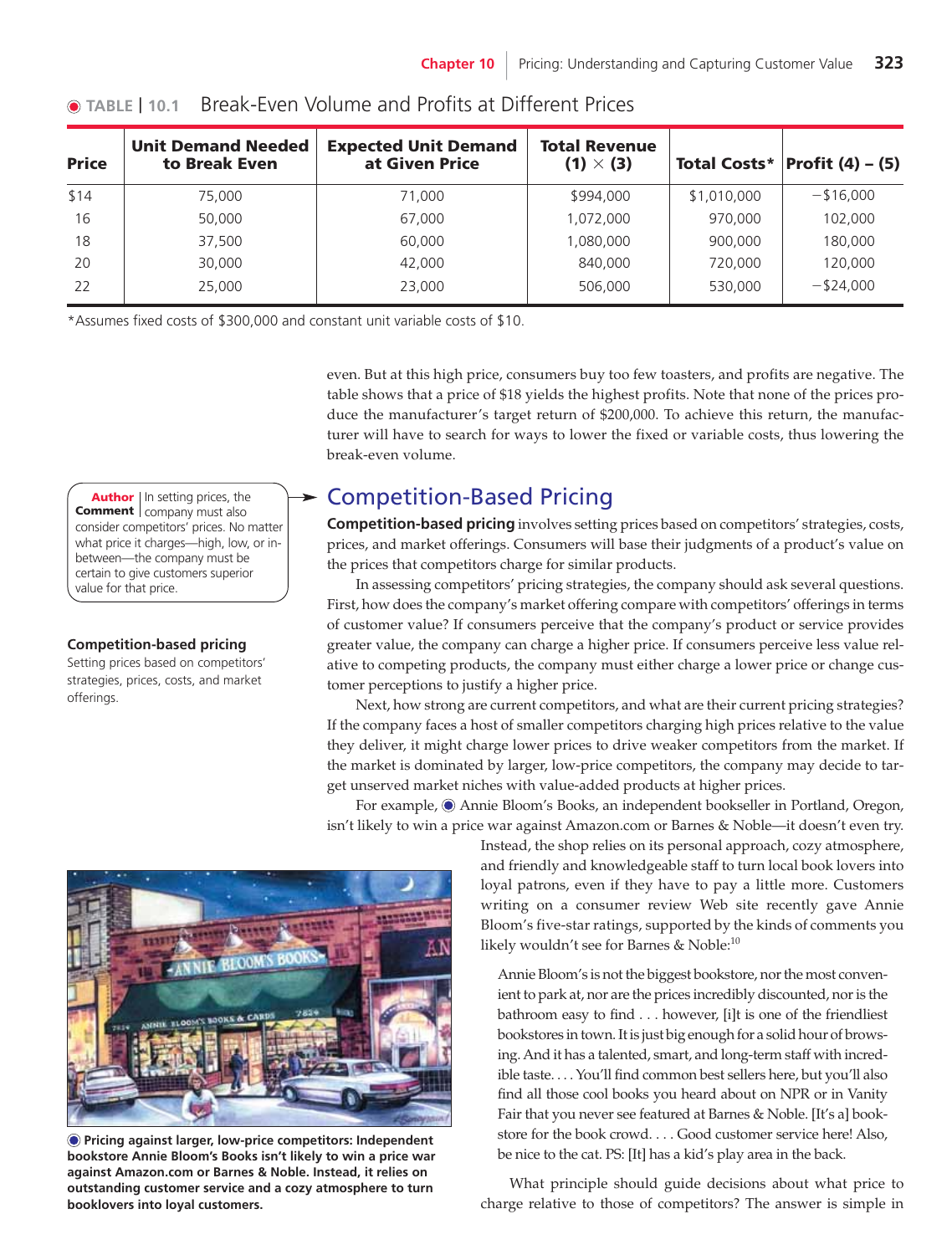| <b>Price</b> | <b>Unit Demand Needed</b><br>to Break Even | <b>Expected Unit Demand</b><br>at Given Price | <b>Total Revenue</b><br>$(1) \times (3)$ |             | Total Costs*   Profit $(4)$ – $(5)$ |
|--------------|--------------------------------------------|-----------------------------------------------|------------------------------------------|-------------|-------------------------------------|
| \$14         | 75,000                                     | 71,000                                        | \$994,000                                | \$1,010,000 | $-$ \$16,000                        |
| 16           | 50,000                                     | 67,000                                        | 1,072,000                                | 970,000     | 102,000                             |
| 18           | 37.500                                     | 60,000                                        | 1,080,000                                | 900.000     | 180,000                             |
| 20           | 30,000                                     | 42,000                                        | 840,000                                  | 720,000     | 120,000                             |
| 22           | 25,000                                     | 23,000                                        | 506,000                                  | 530,000     | $-$ \$24.000                        |
|              |                                            |                                               |                                          |             |                                     |

#### **TABLE** | **10.1** Break-Even Volume and Profits at Different Prices

\*Assumes fixed costs of \$300,000 and constant unit variable costs of \$10.

even. But at this high price, consumers buy too few toasters, and profits are negative. The table shows that a price of \$18 yields the highest profits. Note that none of the prices produce the manufacturer's target return of \$200,000. To achieve this return, the manufacturer will have to search for ways to lower the fixed or variable costs, thus lowering the break-even volume.

#### **Author** | In setting prices, the **Comment** I company must also consider competitors' prices. No matter what price it charges—high, low, or inbetween—the company must be certain to give customers superior value for that price.

#### **Competition-based pricing**

Setting prices based on competitors' strategies, prices, costs, and market offerings.

### Competition-Based Pricing

**Competition-based pricing** involves setting prices based on competitors' strategies, costs, prices, and market offerings. Consumers will base their judgments of a product's value on the prices that competitors charge for similar products.

In assessing competitors' pricing strategies, the company should ask several questions. First, how does the company's market offering compare with competitors' offerings in terms of customer value? If consumers perceive that the company's product or service provides greater value, the company can charge a higher price. If consumers perceive less value relative to competing products, the company must either charge a lower price or change customer perceptions to justify a higher price.

Next, how strong are current competitors, and what are their current pricing strategies? If the company faces a host of smaller competitors charging high prices relative to the value they deliver, it might charge lower prices to drive weaker competitors from the market. If the market is dominated by larger, low-price competitors, the company may decide to target unserved market niches with value-added products at higher prices.

For example,  $\odot$  Annie Bloom's Books, an independent bookseller in Portland, Oregon, isn't likely to win a price war against Amazon.com or Barnes & Noble—it doesn't even try.

> Instead, the shop relies on its personal approach, cozy atmosphere, and friendly and knowledgeable staff to turn local book lovers into loyal patrons, even if they have to pay a little more. Customers writing on a consumer review Web site recently gave Annie Bloom's five-star ratings, supported by the kinds of comments you likely wouldn't see for Barnes & Noble:<sup>10</sup>

Annie Bloom's is not the biggest bookstore, nor the most convenient to park at, nor are the prices incredibly discounted, nor is the bathroom easy to find . . . however, [i]t is one of the friendliest bookstores in town. It is just big enough for a solid hour of browsing. And it has a talented, smart, and long-term staff with incredible taste. . . . You'll find common best sellers here, but you'll also find all those cool books you heard about on NPR or in Vanity Fair that you never see featured at Barnes & Noble. [It's a] bookstore for the book crowd. . . . Good customer service here! Also, be nice to the cat. PS: [It] has a kid's play area in the back.

What principle should guide decisions about what price to charge relative to those of competitors? The answer is simple in



**Pricing against larger, low-price competitors: Independent bookstore Annie Bloom's Books isn't likely to win a price war against Amazon.com or Barnes & Noble. Instead, it relies on outstanding customer service and a cozy atmosphere to turn booklovers into loyal customers.**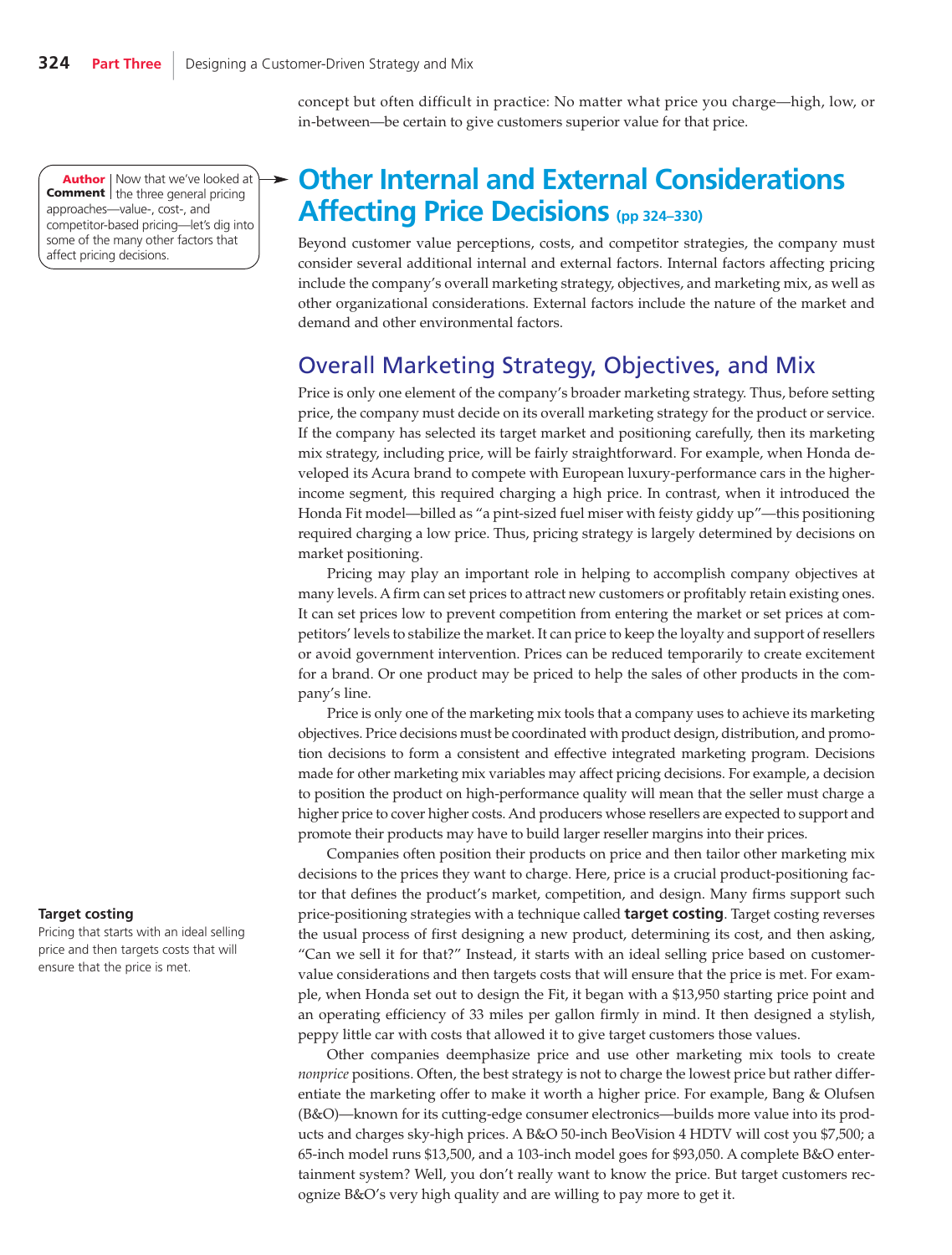**Author** | Now that we've looked at **Comment** I the three general pricing approaches—value-, cost-, and competitor-based pricing—let's dig into some of the many other factors that affect pricing decisions.

### **Other Internal and External Considerations Affecting Price Decisions (pp 324–330)**

in-between—be certain to give customers superior value for that price.

concept but often difficult in practice: No matter what price you charge—high, low, or

Beyond customer value perceptions, costs, and competitor strategies, the company must consider several additional internal and external factors. Internal factors affecting pricing include the company's overall marketing strategy, objectives, and marketing mix, as well as other organizational considerations. External factors include the nature of the market and demand and other environmental factors.

### Overall Marketing Strategy, Objectives, and Mix

Price is only one element of the company's broader marketing strategy. Thus, before setting price, the company must decide on its overall marketing strategy for the product or service. If the company has selected its target market and positioning carefully, then its marketing mix strategy, including price, will be fairly straightforward. For example, when Honda developed its Acura brand to compete with European luxury-performance cars in the higherincome segment, this required charging a high price. In contrast, when it introduced the Honda Fit model—billed as "a pint-sized fuel miser with feisty giddy up"—this positioning required charging a low price. Thus, pricing strategy is largely determined by decisions on market positioning.

Pricing may play an important role in helping to accomplish company objectives at many levels. A firm can set prices to attract new customers or profitably retain existing ones. It can set prices low to prevent competition from entering the market or set prices at competitors' levels to stabilize the market. It can price to keep the loyalty and support of resellers or avoid government intervention. Prices can be reduced temporarily to create excitement for a brand. Or one product may be priced to help the sales of other products in the company's line.

Price is only one of the marketing mix tools that a company uses to achieve its marketing objectives. Price decisions must be coordinated with product design, distribution, and promotion decisions to form a consistent and effective integrated marketing program. Decisions made for other marketing mix variables may affect pricing decisions. For example, a decision to position the product on high-performance quality will mean that the seller must charge a higher price to cover higher costs. And producers whose resellers are expected to support and promote their products may have to build larger reseller margins into their prices.

Companies often position their products on price and then tailor other marketing mix decisions to the prices they want to charge. Here, price is a crucial product-positioning factor that defines the product's market, competition, and design. Many firms support such price-positioning strategies with a technique called **target costing**. Target costing reverses the usual process of first designing a new product, determining its cost, and then asking, "Can we sell it for that?" Instead, it starts with an ideal selling price based on customervalue considerations and then targets costs that will ensure that the price is met. For example, when Honda set out to design the Fit, it began with a \$13,950 starting price point and an operating efficiency of 33 miles per gallon firmly in mind. It then designed a stylish, peppy little car with costs that allowed it to give target customers those values.

Other companies deemphasize price and use other marketing mix tools to create *nonprice* positions. Often, the best strategy is not to charge the lowest price but rather differentiate the marketing offer to make it worth a higher price. For example, Bang & Olufsen (B&O)—known for its cutting-edge consumer electronics—builds more value into its products and charges sky-high prices. A B&O 50-inch BeoVision 4 HDTV will cost you \$7,500; a 65-inch model runs \$13,500, and a 103-inch model goes for \$93,050. A complete B&O entertainment system? Well, you don't really want to know the price. But target customers recognize B&O's very high quality and are willing to pay more to get it.

#### **Target costing**

Pricing that starts with an ideal selling price and then targets costs that will ensure that the price is met.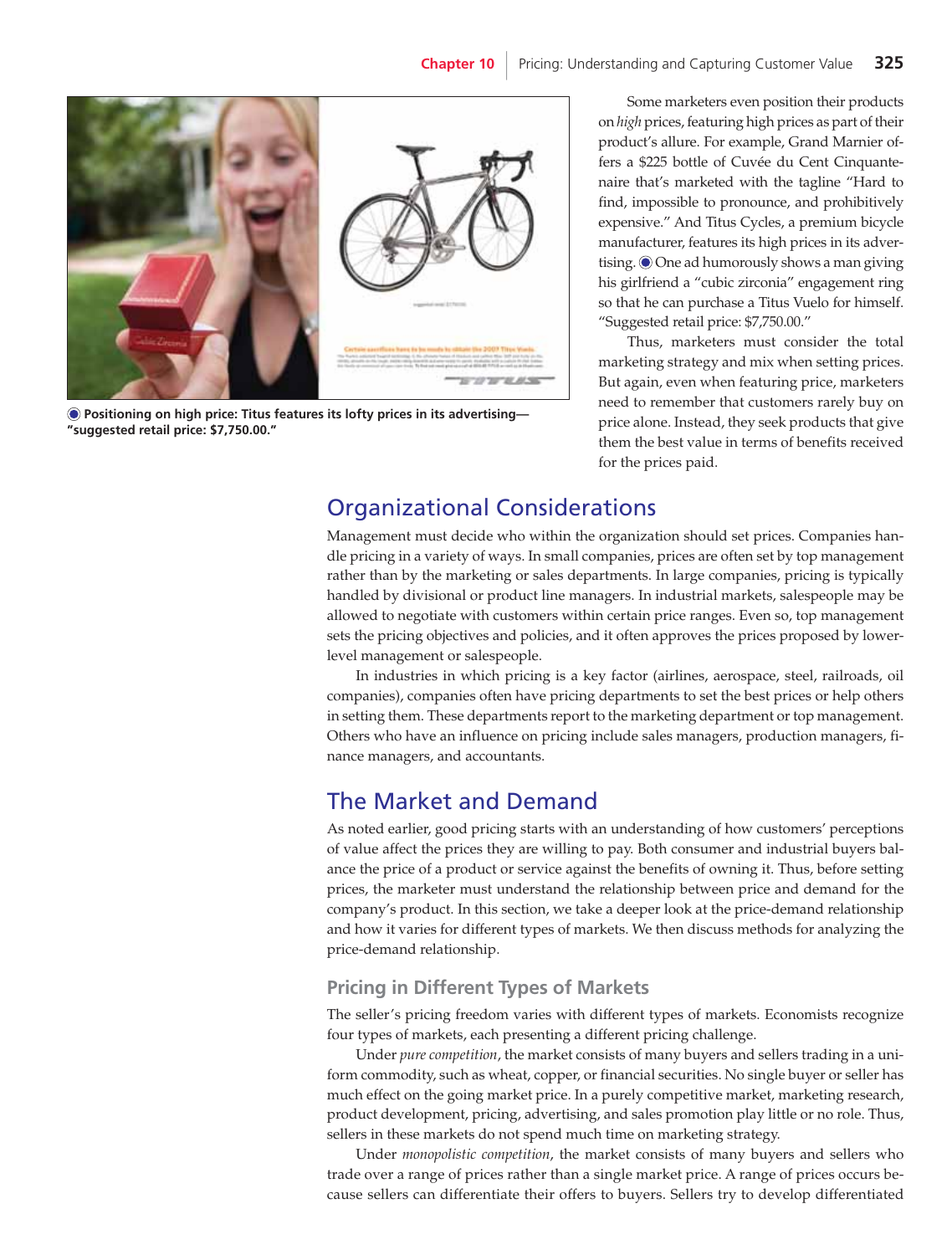

**Positioning on high price: Titus features its lofty prices in its advertising— "suggested retail price: \$7,750.00."**

Some marketers even position their products on *high* prices, featuring high prices as part of their product's allure. For example, Grand Marnier offers a \$225 bottle of Cuvée du Cent Cinquantenaire that's marketed with the tagline "Hard to find, impossible to pronounce, and prohibitively expensive." And Titus Cycles, a premium bicycle manufacturer, features its high prices in its advertising. O One ad humorously shows a man giving his girlfriend a "cubic zirconia" engagement ring so that he can purchase a Titus Vuelo for himself. "Suggested retail price: \$7,750.00."

Thus, marketers must consider the total marketing strategy and mix when setting prices. But again, even when featuring price, marketers need to remember that customers rarely buy on price alone. Instead, they seek products that give them the best value in terms of benefits received for the prices paid.

#### Organizational Considerations

Management must decide who within the organization should set prices. Companies handle pricing in a variety of ways. In small companies, prices are often set by top management rather than by the marketing or sales departments. In large companies, pricing is typically handled by divisional or product line managers. In industrial markets, salespeople may be allowed to negotiate with customers within certain price ranges. Even so, top management sets the pricing objectives and policies, and it often approves the prices proposed by lowerlevel management or salespeople.

In industries in which pricing is a key factor (airlines, aerospace, steel, railroads, oil companies), companies often have pricing departments to set the best prices or help others in setting them. These departments report to the marketing department or top management. Others who have an influence on pricing include sales managers, production managers, finance managers, and accountants.

#### The Market and Demand

As noted earlier, good pricing starts with an understanding of how customers' perceptions of value affect the prices they are willing to pay. Both consumer and industrial buyers balance the price of a product or service against the benefits of owning it. Thus, before setting prices, the marketer must understand the relationship between price and demand for the company's product. In this section, we take a deeper look at the price-demand relationship and how it varies for different types of markets. We then discuss methods for analyzing the price-demand relationship.

#### **Pricing in Different Types of Markets**

The seller's pricing freedom varies with different types of markets. Economists recognize four types of markets, each presenting a different pricing challenge.

Under *pure competition*, the market consists of many buyers and sellers trading in a uniform commodity, such as wheat, copper, or financial securities. No single buyer or seller has much effect on the going market price. In a purely competitive market, marketing research, product development, pricing, advertising, and sales promotion play little or no role. Thus, sellers in these markets do not spend much time on marketing strategy.

Under *monopolistic competition*, the market consists of many buyers and sellers who trade over a range of prices rather than a single market price. A range of prices occurs because sellers can differentiate their offers to buyers. Sellers try to develop differentiated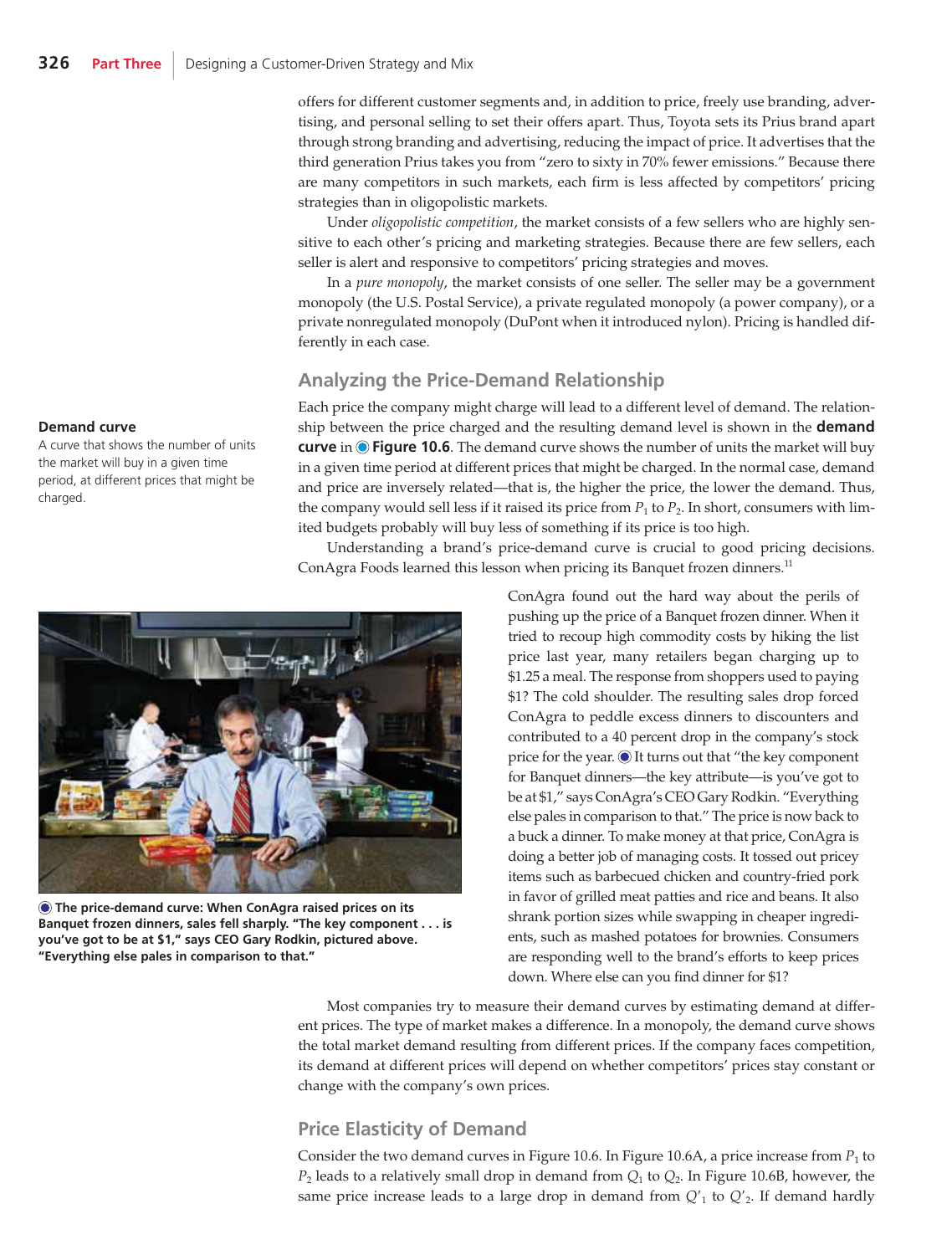offers for different customer segments and, in addition to price, freely use branding, advertising, and personal selling to set their offers apart. Thus, Toyota sets its Prius brand apart through strong branding and advertising, reducing the impact of price. It advertises that the third generation Prius takes you from "zero to sixty in 70% fewer emissions." Because there are many competitors in such markets, each firm is less affected by competitors' pricing strategies than in oligopolistic markets.

Under *oligopolistic competition*, the market consists of a few sellers who are highly sensitive to each other's pricing and marketing strategies. Because there are few sellers, each seller is alert and responsive to competitors' pricing strategies and moves.

In a *pure monopoly*, the market consists of one seller. The seller may be a government monopoly (the U.S. Postal Service), a private regulated monopoly (a power company), or a private nonregulated monopoly (DuPont when it introduced nylon). Pricing is handled differently in each case.

#### **Analyzing the Price-Demand Relationship**

Each price the company might charge will lead to a different level of demand. The relationship between the price charged and the resulting demand level is shown in the **demand curve** in  $\odot$  **Figure 10.6**. The demand curve shows the number of units the market will buy in a given time period at different prices that might be charged. In the normal case, demand and price are inversely related—that is, the higher the price, the lower the demand. Thus, the company would sell less if it raised its price from  $P_1$  to  $P_2$ . In short, consumers with limited budgets probably will buy less of something if its price is too high.

Understanding a brand's price-demand curve is crucial to good pricing decisions. ConAgra Foods learned this lesson when pricing its Banquet frozen dinners.<sup>11</sup>



Most companies try to measure their demand curves by estimating demand at different prices. The type of market makes a difference. In a monopoly, the demand curve shows the total market demand resulting from different prices. If the company faces competition, its demand at different prices will depend on whether competitors' prices stay constant or change with the company's own prices.

#### **Price Elasticity of Demand**

Consider the two demand curves in Figure 10.6. In Figure 10.6A, a price increase from  $P_1$  to  $P_2$  leads to a relatively small drop in demand from  $Q_1$  to  $Q_2$ . In Figure 10.6B, however, the same price increase leads to a large drop in demand from  $Q'_1$  to  $Q'_2$ . If demand hardly

#### **Demand curve**

A curve that shows the number of units the market will buy in a given time period, at different prices that might be charged.



**The price-demand curve: When ConAgra raised prices on its Banquet frozen dinners, sales fell sharply. "The key component . . . is you've got to be at \$1," says CEO Gary Rodkin, pictured above. "Everything else pales in comparison to that."**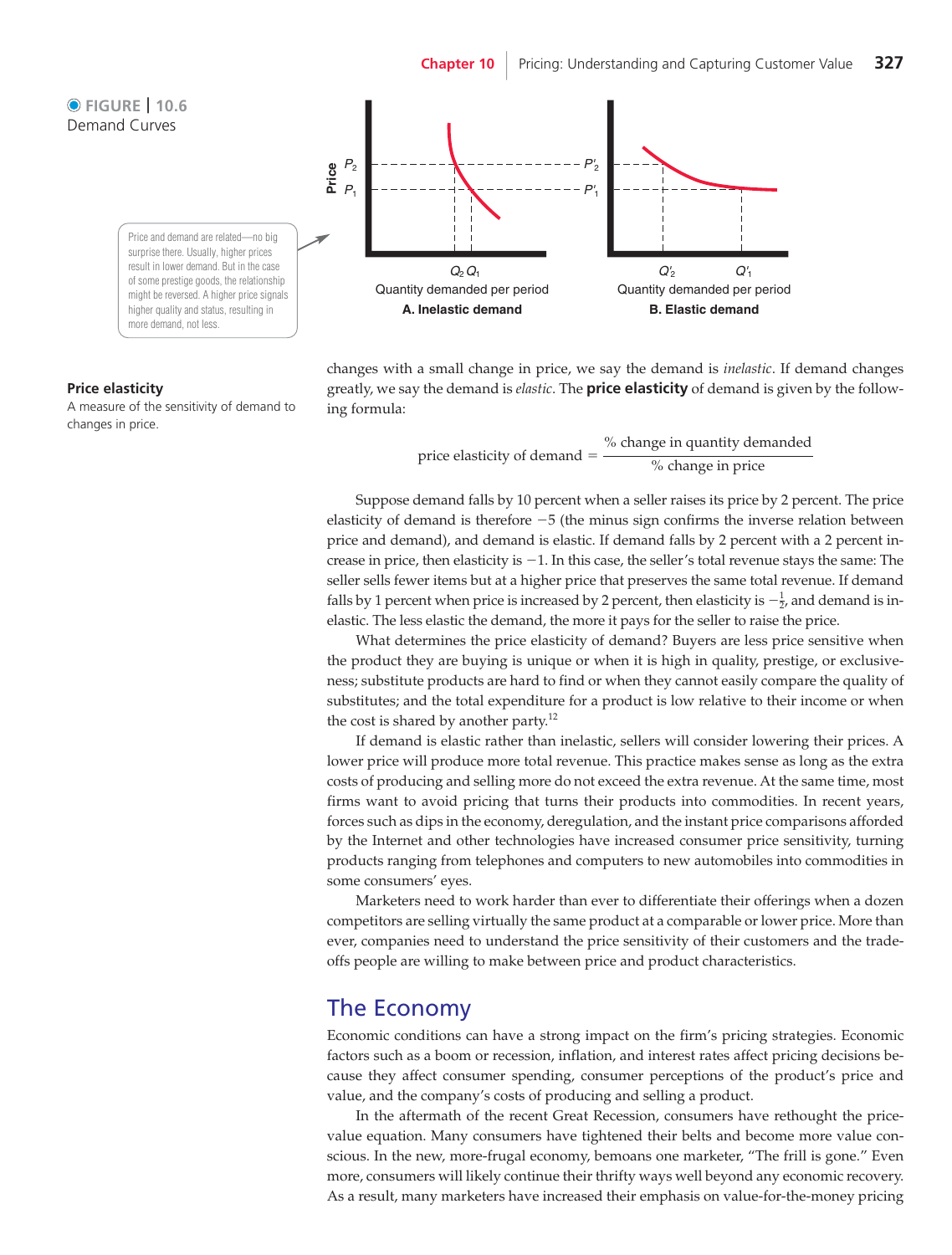

#### **Price elasticity**

A measure of the sensitivity of demand to changes in price.

changes with a small change in price, we say the demand is *inelastic*. If demand changes greatly, we say the demand is *elastic*. The **price elasticity** of demand is given by the following formula:

> price elasticity of demand  $=$   $\frac{\% \text{ change in quantity demanded}}{\% \times \% \times \%}$ % change in price

Suppose demand falls by 10 percent when a seller raises its price by 2 percent. The price elasticity of demand is therefore  $-5$  (the minus sign confirms the inverse relation between price and demand), and demand is elastic. If demand falls by 2 percent with a 2 percent increase in price, then elasticity is  $-1$ . In this case, the seller's total revenue stays the same: The seller sells fewer items but at a higher price that preserves the same total revenue. If demand falls by 1 percent when price is increased by 2 percent, then elasticity is  $-\frac{1}{2}$ , and demand is inelastic. The less elastic the demand, the more it pays for the seller to raise the price.

What determines the price elasticity of demand? Buyers are less price sensitive when the product they are buying is unique or when it is high in quality, prestige, or exclusiveness; substitute products are hard to find or when they cannot easily compare the quality of substitutes; and the total expenditure for a product is low relative to their income or when the cost is shared by another party.<sup>12</sup>

If demand is elastic rather than inelastic, sellers will consider lowering their prices. A lower price will produce more total revenue. This practice makes sense as long as the extra costs of producing and selling more do not exceed the extra revenue. At the same time, most firms want to avoid pricing that turns their products into commodities. In recent years, forces such as dips in the economy, deregulation, and the instant price comparisons afforded by the Internet and other technologies have increased consumer price sensitivity, turning products ranging from telephones and computers to new automobiles into commodities in some consumers' eyes.

Marketers need to work harder than ever to differentiate their offerings when a dozen competitors are selling virtually the same product at a comparable or lower price. More than ever, companies need to understand the price sensitivity of their customers and the tradeoffs people are willing to make between price and product characteristics.

#### The Economy

Economic conditions can have a strong impact on the firm's pricing strategies. Economic factors such as a boom or recession, inflation, and interest rates affect pricing decisions because they affect consumer spending, consumer perceptions of the product's price and value, and the company's costs of producing and selling a product.

In the aftermath of the recent Great Recession, consumers have rethought the pricevalue equation. Many consumers have tightened their belts and become more value conscious. In the new, more-frugal economy, bemoans one marketer, "The frill is gone." Even more, consumers will likely continue their thrifty ways well beyond any economic recovery. As a result, many marketers have increased their emphasis on value-for-the-money pricing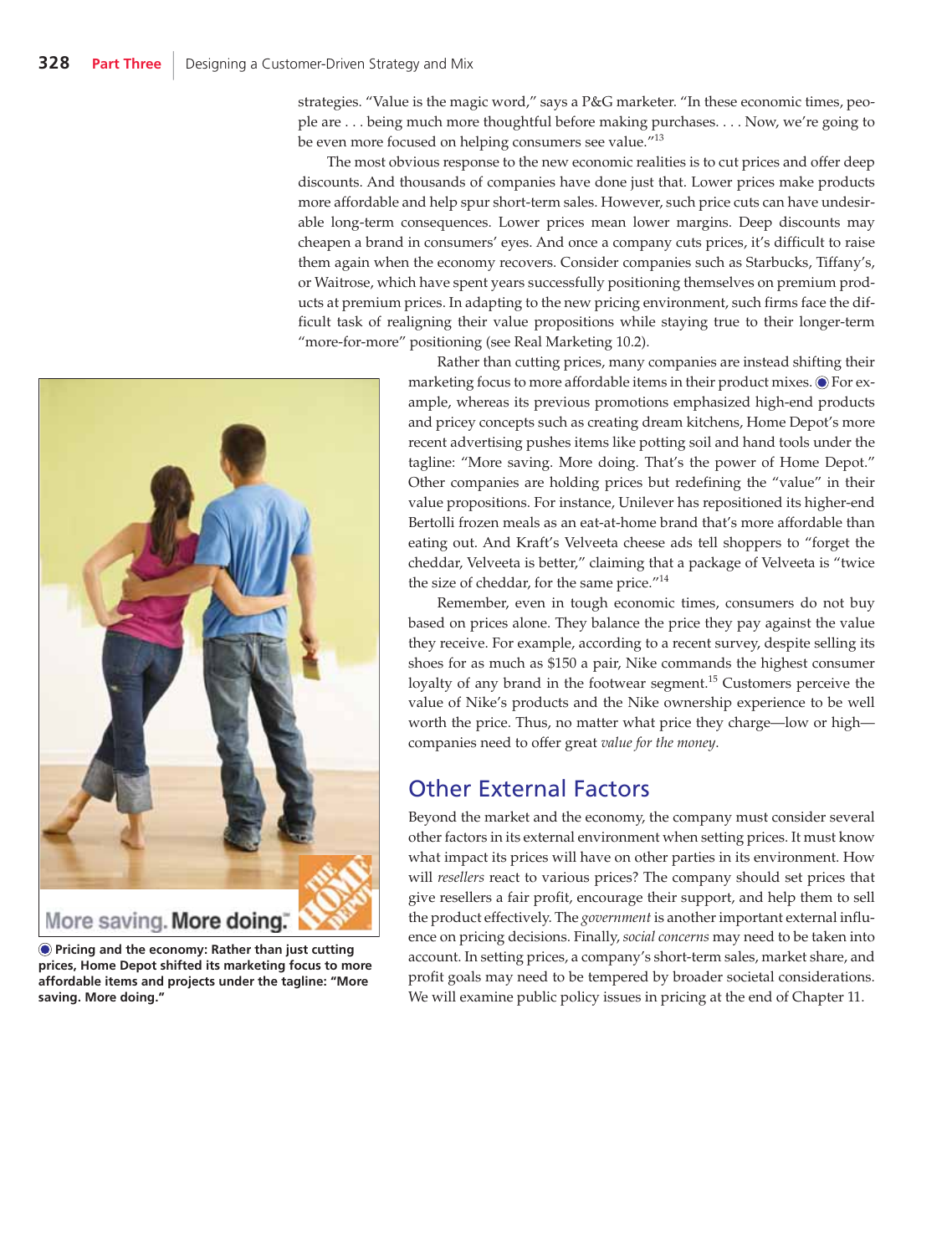strategies. "Value is the magic word," says a P&G marketer. "In these economic times, people are . . . being much more thoughtful before making purchases. . . . Now, we're going to be even more focused on helping consumers see value."<sup>13</sup>

The most obvious response to the new economic realities is to cut prices and offer deep discounts. And thousands of companies have done just that. Lower prices make products more affordable and help spur short-term sales. However, such price cuts can have undesirable long-term consequences. Lower prices mean lower margins. Deep discounts may cheapen a brand in consumers' eyes. And once a company cuts prices, it's difficult to raise them again when the economy recovers. Consider companies such as Starbucks, Tiffany's, or Waitrose, which have spent years successfully positioning themselves on premium products at premium prices. In adapting to the new pricing environment, such firms face the difficult task of realigning their value propositions while staying true to their longer-term "more-for-more" positioning (see Real Marketing 10.2).



More saving. More doing."

**Pricing and the economy: Rather than just cutting prices, Home Depot shifted its marketing focus to more affordable items and projects under the tagline: "More saving. More doing."**

Rather than cutting prices, many companies are instead shifting their marketing focus to more affordable items in their product mixes.  $\bigcirc$  For example, whereas its previous promotions emphasized high-end products and pricey concepts such as creating dream kitchens, Home Depot's more recent advertising pushes items like potting soil and hand tools under the tagline: "More saving. More doing. That's the power of Home Depot." Other companies are holding prices but redefining the "value" in their value propositions. For instance, Unilever has repositioned its higher-end Bertolli frozen meals as an eat-at-home brand that's more affordable than eating out. And Kraft's Velveeta cheese ads tell shoppers to "forget the cheddar, Velveeta is better," claiming that a package of Velveeta is "twice the size of cheddar, for the same price."<sup>14</sup>

Remember, even in tough economic times, consumers do not buy based on prices alone. They balance the price they pay against the value they receive. For example, according to a recent survey, despite selling its shoes for as much as \$150 a pair, Nike commands the highest consumer loyalty of any brand in the footwear segment.<sup>15</sup> Customers perceive the value of Nike's products and the Nike ownership experience to be well worth the price. Thus, no matter what price they charge—low or high companies need to offer great *value for the money*.

#### Other External Factors

Beyond the market and the economy, the company must consider several other factors in its external environment when setting prices. It must know what impact its prices will have on other parties in its environment. How will *resellers* react to various prices? The company should set prices that give resellers a fair profit, encourage their support, and help them to sell the product effectively. The *government* is another important external influence on pricing decisions. Finally, *social concerns* may need to be taken into account. In setting prices, a company's short-term sales, market share, and profit goals may need to be tempered by broader societal considerations. We will examine public policy issues in pricing at the end of Chapter 11.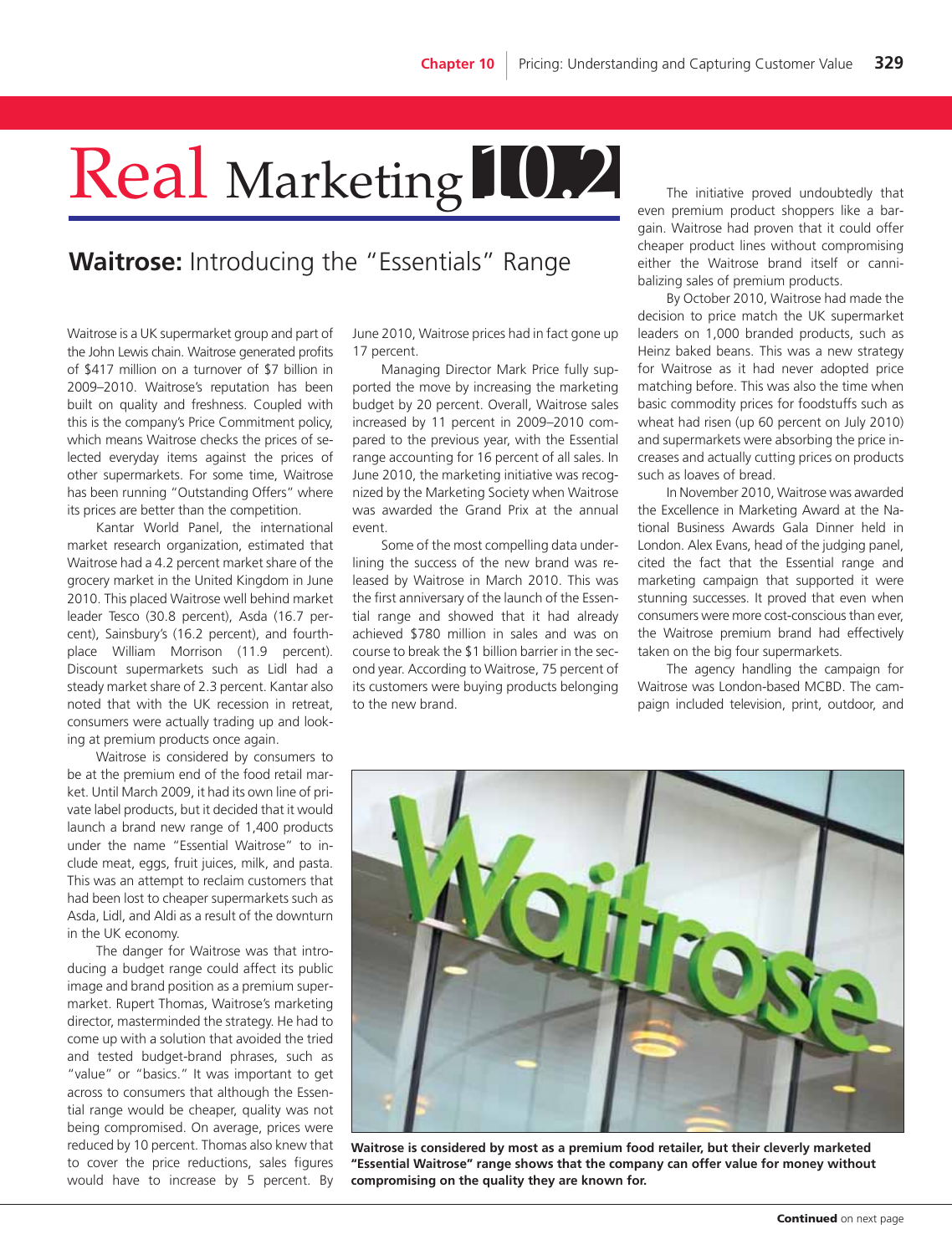# Real Marketing 10.2

### **Waitrose:** Introducing the "Essentials" Range

Waitrose is a UK supermarket group and part of the John Lewis chain. Waitrose generated profits of \$417 million on a turnover of \$7 billion in 2009–2010. Waitrose's reputation has been built on quality and freshness. Coupled with this is the company's Price Commitment policy, which means Waitrose checks the prices of selected everyday items against the prices of other supermarkets. For some time, Waitrose has been running "Outstanding Offers" where its prices are better than the competition.

Kantar World Panel, the international market research organization, estimated that Waitrose had a 4.2 percent market share of the grocery market in the United Kingdom in June 2010. This placed Waitrose well behind market leader Tesco (30.8 percent), Asda (16.7 percent), Sainsbury's (16.2 percent), and fourthplace William Morrison (11.9 percent). Discount supermarkets such as Lidl had a steady market share of 2.3 percent. Kantar also noted that with the UK recession in retreat, consumers were actually trading up and looking at premium products once again.

Waitrose is considered by consumers to be at the premium end of the food retail market. Until March 2009, it had its own line of private label products, but it decided that it would launch a brand new range of 1,400 products under the name "Essential Waitrose" to include meat, eggs, fruit juices, milk, and pasta. This was an attempt to reclaim customers that had been lost to cheaper supermarkets such as Asda, Lidl, and Aldi as a result of the downturn in the UK economy.

The danger for Waitrose was that introducing a budget range could affect its public image and brand position as a premium supermarket. Rupert Thomas, Waitrose's marketing director, masterminded the strategy. He had to come up with a solution that avoided the tried and tested budget-brand phrases, such as "value" or "basics." It was important to get across to consumers that although the Essential range would be cheaper, quality was not being compromised. On average, prices were reduced by 10 percent. Thomas also knew that to cover the price reductions, sales figures would have to increase by 5 percent. By

June 2010, Waitrose prices had in fact gone up 17 percent.

Managing Director Mark Price fully supported the move by increasing the marketing budget by 20 percent. Overall, Waitrose sales increased by 11 percent in 2009–2010 compared to the previous year, with the Essential range accounting for 16 percent of all sales. In June 2010, the marketing initiative was recognized by the Marketing Society when Waitrose was awarded the Grand Prix at the annual event.

Some of the most compelling data underlining the success of the new brand was released by Waitrose in March 2010. This was the first anniversary of the launch of the Essential range and showed that it had already achieved \$780 million in sales and was on course to break the \$1 billion barrier in the second year. According to Waitrose, 75 percent of its customers were buying products belonging to the new brand.

The initiative proved undoubtedly that even premium product shoppers like a bargain. Waitrose had proven that it could offer cheaper product lines without compromising either the Waitrose brand itself or cannibalizing sales of premium products.

By October 2010, Waitrose had made the decision to price match the UK supermarket leaders on 1,000 branded products, such as Heinz baked beans. This was a new strategy for Waitrose as it had never adopted price matching before. This was also the time when basic commodity prices for foodstuffs such as wheat had risen (up 60 percent on July 2010) and supermarkets were absorbing the price increases and actually cutting prices on products such as loaves of bread.

In November 2010, Waitrose was awarded the Excellence in Marketing Award at the National Business Awards Gala Dinner held in London. Alex Evans, head of the judging panel, cited the fact that the Essential range and marketing campaign that supported it were stunning successes. It proved that even when consumers were more cost-conscious than ever, the Waitrose premium brand had effectively taken on the big four supermarkets.

The agency handling the campaign for Waitrose was London-based MCBD. The campaign included television, print, outdoor, and



**Waitrose is considered by most as a premium food retailer, but their cleverly marketed "Essential Waitrose" range shows that the company can offer value for money without compromising on the quality they are known for.**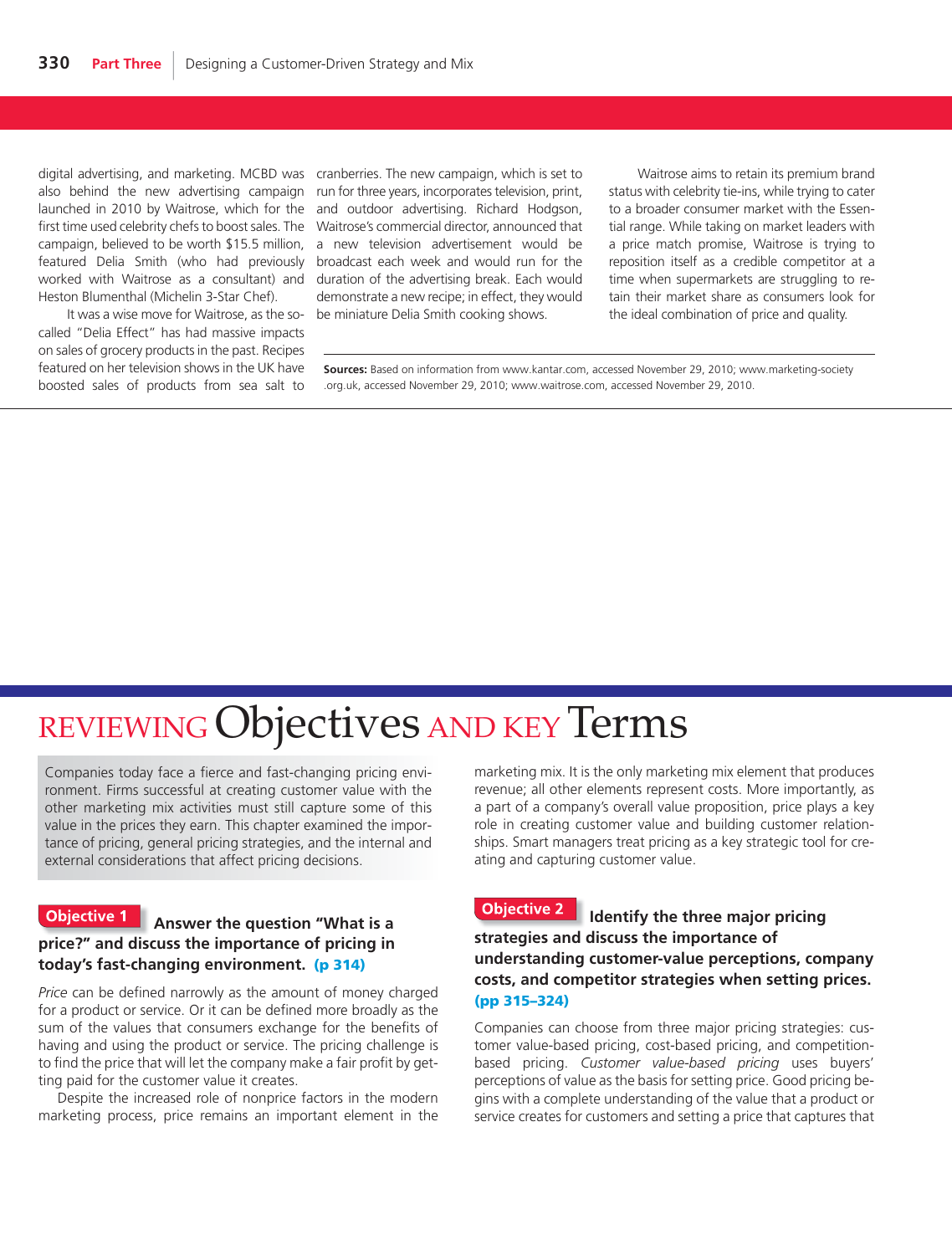digital advertising, and marketing. MCBD was also behind the new advertising campaign launched in 2010 by Waitrose, which for the first time used celebrity chefs to boost sales. The campaign, believed to be worth \$15.5 million, featured Delia Smith (who had previously worked with Waitrose as a consultant) and Heston Blumenthal (Michelin 3-Star Chef).

It was a wise move for Waitrose, as the socalled "Delia Effect" has had massive impacts on sales of grocery products in the past. Recipes featured on her television shows in the UK have boosted sales of products from sea salt to cranberries. The new campaign, which is set to run for three years, incorporates television, print, and outdoor advertising. Richard Hodgson, Waitrose's commercial director, announced that a new television advertisement would be broadcast each week and would run for the duration of the advertising break. Each would demonstrate a new recipe; in effect, they would be miniature Delia Smith cooking shows.

Waitrose aims to retain its premium brand status with celebrity tie-ins, while trying to cater to a broader consumer market with the Essential range. While taking on market leaders with a price match promise, Waitrose is trying to reposition itself as a credible competitor at a time when supermarkets are struggling to retain their market share as consumers look for the ideal combination of price and quality.

**Sources:** Based on information from www.kantar.com, accessed November 29, 2010; www.marketing-society .org.uk, accessed November 29, 2010; www.waitrose.com, accessed November 29, 2010.

## REVIEWING Objectives AND KEY Terms

Companies today face a fierce and fast-changing pricing environment. Firms successful at creating customer value with the other marketing mix activities must still capture some of this value in the prices they earn. This chapter examined the importance of pricing, general pricing strategies, and the internal and external considerations that affect pricing decisions.

#### **Objective 1**

#### **Answer the question "What is a price?" and discuss the importance of pricing in today's fast-changing environment. (p 314)**

*Price* can be defined narrowly as the amount of money charged for a product or service. Or it can be defined more broadly as the sum of the values that consumers exchange for the benefits of having and using the product or service. The pricing challenge is to find the price that will let the company make a fair profit by getting paid for the customer value it creates.

Despite the increased role of nonprice factors in the modern marketing process, price remains an important element in the marketing mix. It is the only marketing mix element that produces revenue; all other elements represent costs. More importantly, as a part of a company's overall value proposition, price plays a key role in creating customer value and building customer relationships. Smart managers treat pricing as a key strategic tool for creating and capturing customer value.

#### **Objective 2 Identify the three major pricing strategies and discuss the importance of understanding customer-value perceptions, company costs, and competitor strategies when setting prices. (pp 315–324)**

Companies can choose from three major pricing strategies: customer value-based pricing, cost-based pricing, and competitionbased pricing. *Customer value-based pricing* uses buyers' perceptions of value as the basis for setting price. Good pricing begins with a complete understanding of the value that a product or service creates for customers and setting a price that captures that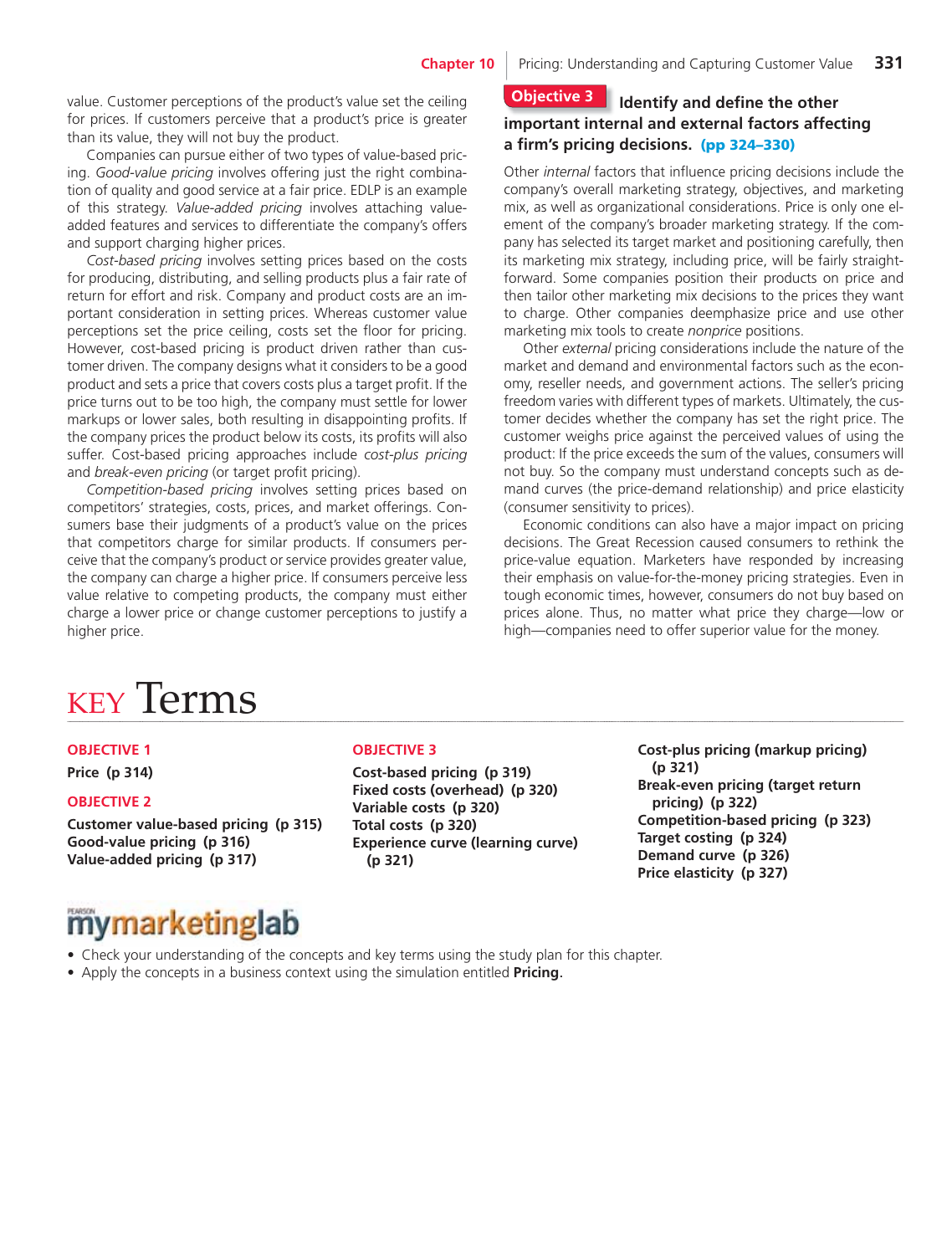value. Customer perceptions of the product's value set the ceiling for prices. If customers perceive that a product's price is greater than its value, they will not buy the product.

Companies can pursue either of two types of value-based pricing. *Good-value pricing* involves offering just the right combination of quality and good service at a fair price. EDLP is an example of this strategy. *Value-added pricing* involves attaching valueadded features and services to differentiate the company's offers and support charging higher prices.

*Cost-based pricing* involves setting prices based on the costs for producing, distributing, and selling products plus a fair rate of return for effort and risk. Company and product costs are an important consideration in setting prices. Whereas customer value perceptions set the price ceiling, costs set the floor for pricing. However, cost-based pricing is product driven rather than customer driven. The company designs what it considers to be a good product and sets a price that covers costs plus a target profit. If the price turns out to be too high, the company must settle for lower markups or lower sales, both resulting in disappointing profits. If the company prices the product below its costs, its profits will also suffer. Cost-based pricing approaches include *cost-plus pricing* and *break-even pricing* (or target profit pricing).

*Competition-based pricing* involves setting prices based on competitors' strategies, costs, prices, and market offerings. Consumers base their judgments of a product's value on the prices that competitors charge for similar products. If consumers perceive that the company's product or service provides greater value, the company can charge a higher price. If consumers perceive less value relative to competing products, the company must either charge a lower price or change customer perceptions to justify a higher price.

#### **Objective 3**

#### **Identify and define the other important internal and external factors affecting a firm's pricing decisions. (pp 324–330)**

Other *internal* factors that influence pricing decisions include the company's overall marketing strategy, objectives, and marketing mix, as well as organizational considerations. Price is only one element of the company's broader marketing strategy. If the company has selected its target market and positioning carefully, then its marketing mix strategy, including price, will be fairly straightforward. Some companies position their products on price and then tailor other marketing mix decisions to the prices they want to charge. Other companies deemphasize price and use other marketing mix tools to create *nonprice* positions.

Other *external* pricing considerations include the nature of the market and demand and environmental factors such as the economy, reseller needs, and government actions. The seller's pricing freedom varies with different types of markets. Ultimately, the customer decides whether the company has set the right price. The customer weighs price against the perceived values of using the product: If the price exceeds the sum of the values, consumers will not buy. So the company must understand concepts such as demand curves (the price-demand relationship) and price elasticity (consumer sensitivity to prices).

Economic conditions can also have a major impact on pricing decisions. The Great Recession caused consumers to rethink the price-value equation. Marketers have responded by increasing their emphasis on value-for-the-money pricing strategies. Even in tough economic times, however, consumers do not buy based on prices alone. Thus, no matter what price they charge—low or high—companies need to offer superior value for the money.

### KEY Terms

#### **OBJECTIVE 1**

**Price (p 314)**

#### **OBJECTIVE 2**

**Customer value-based pricing (p 315) Good-value pricing (p 316) Value-added pricing (p 317)**

#### **OBJECTIVE 3**

**Cost-based pricing (p 319) Fixed costs (overhead) (p 320) Variable costs (p 320) Total costs (p 320) Experience curve (learning curve) (p 321)**

**Cost-plus pricing (markup pricing) (p 321) Break-even pricing (target return pricing) (p 322) Competition-based pricing (p 323) Target costing (p 324) Demand curve (p 326) Price elasticity (p 327)**

### mymarketinglab

- Check your understanding of the concepts and key terms using the study plan for this chapter.
- Apply the concepts in a business context using the simulation entitled **Pricing**.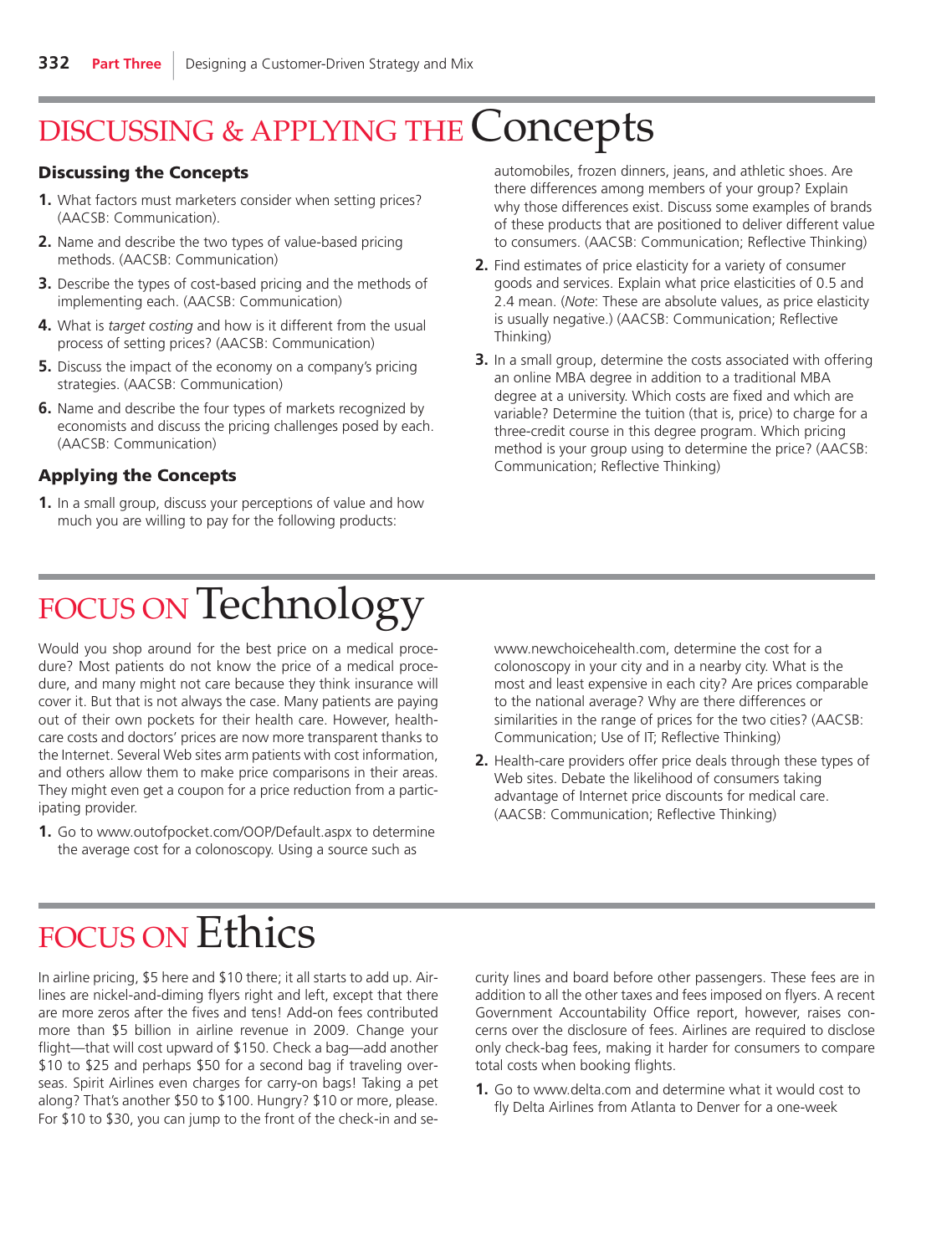### DISCUSSING & APPLYING THE Concepts

#### **Discussing the Concepts**

- **1.** What factors must marketers consider when setting prices? (AACSB: Communication).
- **2.** Name and describe the two types of value-based pricing methods. (AACSB: Communication)
- **3.** Describe the types of cost-based pricing and the methods of implementing each. (AACSB: Communication)
- **4.** What is *target costing* and how is it different from the usual process of setting prices? (AACSB: Communication)
- **5.** Discuss the impact of the economy on a company's pricing strategies. (AACSB: Communication)
- **6.** Name and describe the four types of markets recognized by economists and discuss the pricing challenges posed by each. (AACSB: Communication)

#### **Applying the Concepts**

**1.** In a small group, discuss your perceptions of value and how much you are willing to pay for the following products:

automobiles, frozen dinners, jeans, and athletic shoes. Are there differences among members of your group? Explain why those differences exist. Discuss some examples of brands of these products that are positioned to deliver different value to consumers. (AACSB: Communication; Reflective Thinking)

- **2.** Find estimates of price elasticity for a variety of consumer goods and services. Explain what price elasticities of 0.5 and 2.4 mean. (*Note*: These are absolute values, as price elasticity is usually negative.) (AACSB: Communication; Reflective Thinking)
- **3.** In a small group, determine the costs associated with offering an online MBA degree in addition to a traditional MBA degree at a university. Which costs are fixed and which are variable? Determine the tuition (that is, price) to charge for a three-credit course in this degree program. Which pricing method is your group using to determine the price? (AACSB: Communication; Reflective Thinking)

## FOCUS ON Technology

Would you shop around for the best price on a medical procedure? Most patients do not know the price of a medical procedure, and many might not care because they think insurance will cover it. But that is not always the case. Many patients are paying out of their own pockets for their health care. However, healthcare costs and doctors' prices are now more transparent thanks to the Internet. Several Web sites arm patients with cost information, and others allow them to make price comparisons in their areas. They might even get a coupon for a price reduction from a participating provider.

**1.** Go to www.outofpocket.com/OOP/Default.aspx to determine the average cost for a colonoscopy. Using a source such as

www.newchoicehealth.com, determine the cost for a colonoscopy in your city and in a nearby city. What is the most and least expensive in each city? Are prices comparable to the national average? Why are there differences or similarities in the range of prices for the two cities? (AACSB: Communication; Use of IT; Reflective Thinking)

**2.** Health-care providers offer price deals through these types of Web sites. Debate the likelihood of consumers taking advantage of Internet price discounts for medical care. (AACSB: Communication; Reflective Thinking)

## FOCUS ON Ethics

In airline pricing, \$5 here and \$10 there; it all starts to add up. Airlines are nickel-and-diming flyers right and left, except that there are more zeros after the fives and tens! Add-on fees contributed more than \$5 billion in airline revenue in 2009. Change your flight—that will cost upward of \$150. Check a bag—add another \$10 to \$25 and perhaps \$50 for a second bag if traveling overseas. Spirit Airlines even charges for carry-on bags! Taking a pet along? That's another \$50 to \$100. Hungry? \$10 or more, please. For \$10 to \$30, you can jump to the front of the check-in and security lines and board before other passengers. These fees are in addition to all the other taxes and fees imposed on flyers. A recent Government Accountability Office report, however, raises concerns over the disclosure of fees. Airlines are required to disclose only check-bag fees, making it harder for consumers to compare total costs when booking flights.

**1.** Go to www.delta.com and determine what it would cost to fly Delta Airlines from Atlanta to Denver for a one-week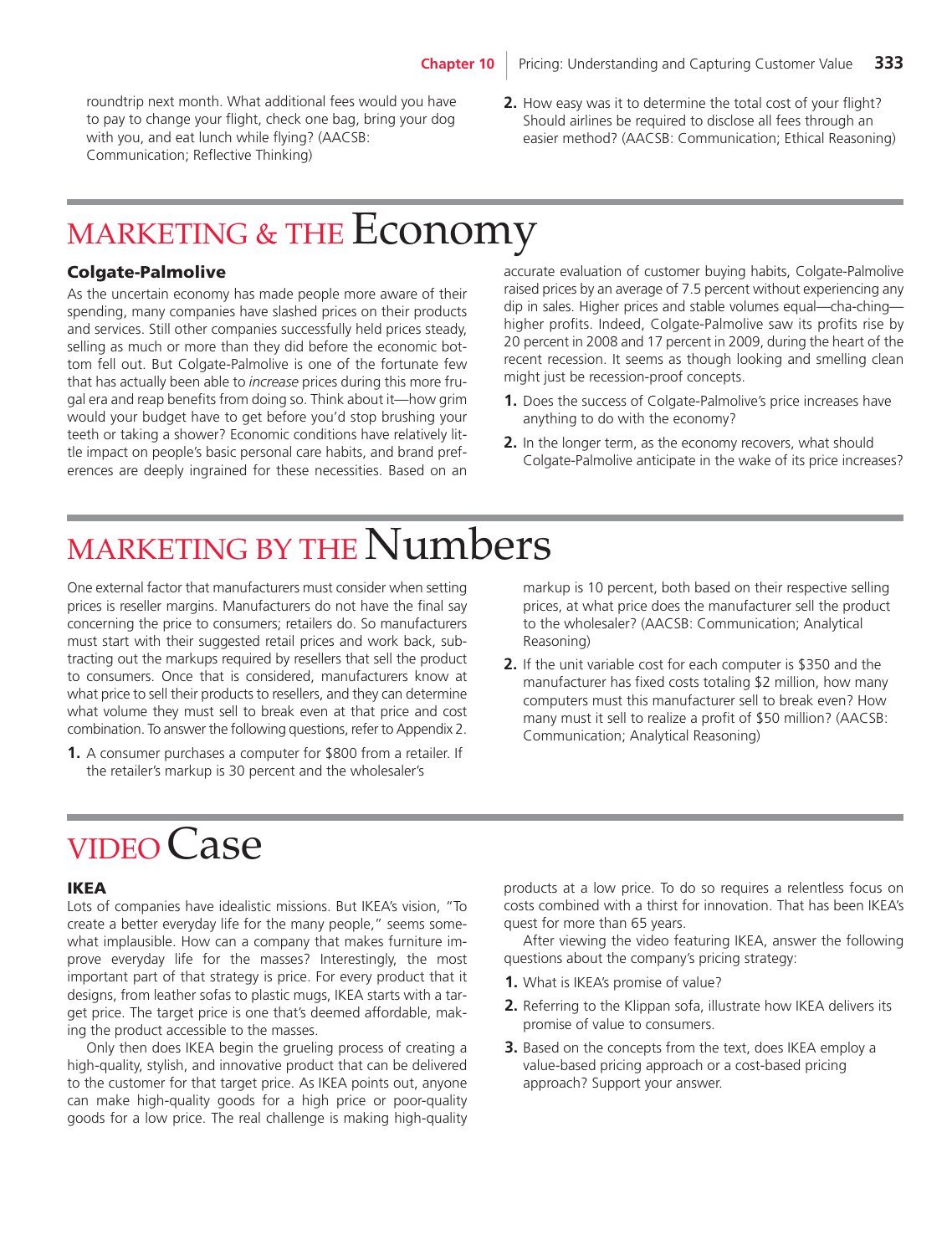roundtrip next month. What additional fees would you have to pay to change your flight, check one bag, bring your dog with you, and eat lunch while flying? (AACSB: Communication; Reflective Thinking)

**2.** How easy was it to determine the total cost of your flight? Should airlines be required to disclose all fees through an easier method? (AACSB: Communication; Ethical Reasoning)

## MARKETING & THE ECONOMY

#### **Colgate-Palmolive**

As the uncertain economy has made people more aware of their spending, many companies have slashed prices on their products and services. Still other companies successfully held prices steady, selling as much or more than they did before the economic bottom fell out. But Colgate-Palmolive is one of the fortunate few that has actually been able to *increase* prices during this more frugal era and reap benefits from doing so. Think about it—how grim would your budget have to get before you'd stop brushing your teeth or taking a shower? Economic conditions have relatively little impact on people's basic personal care habits, and brand preferences are deeply ingrained for these necessities. Based on an

accurate evaluation of customer buying habits, Colgate-Palmolive raised prices by an average of 7.5 percent without experiencing any dip in sales. Higher prices and stable volumes equal—cha-ching higher profits. Indeed, Colgate-Palmolive saw its profits rise by 20 percent in 2008 and 17 percent in 2009, during the heart of the recent recession. It seems as though looking and smelling clean might just be recession-proof concepts.

- **1.** Does the success of Colgate-Palmolive's price increases have anything to do with the economy?
- **2.** In the longer term, as the economy recovers, what should Colgate-Palmolive anticipate in the wake of its price increases?

### MARKETING BY THE Numbers

One external factor that manufacturers must consider when setting prices is reseller margins. Manufacturers do not have the final say concerning the price to consumers; retailers do. So manufacturers must start with their suggested retail prices and work back, subtracting out the markups required by resellers that sell the product to consumers. Once that is considered, manufacturers know at what price to sell their products to resellers, and they can determine what volume they must sell to break even at that price and cost combination. To answer the following questions, refer to Appendix 2.

**1.** A consumer purchases a computer for \$800 from a retailer. If the retailer's markup is 30 percent and the wholesaler's

markup is 10 percent, both based on their respective selling prices, at what price does the manufacturer sell the product to the wholesaler? (AACSB: Communication; Analytical Reasoning)

**2.** If the unit variable cost for each computer is \$350 and the manufacturer has fixed costs totaling \$2 million, how many computers must this manufacturer sell to break even? How many must it sell to realize a profit of \$50 million? (AACSB: Communication; Analytical Reasoning)

### VIDEO Case

#### **IKEA**

Lots of companies have idealistic missions. But IKEA's vision, "To create a better everyday life for the many people," seems somewhat implausible. How can a company that makes furniture improve everyday life for the masses? Interestingly, the most important part of that strategy is price. For every product that it designs, from leather sofas to plastic mugs, IKEA starts with a target price. The target price is one that's deemed affordable, making the product accessible to the masses.

Only then does IKEA begin the grueling process of creating a high-quality, stylish, and innovative product that can be delivered to the customer for that target price. As IKEA points out, anyone can make high-quality goods for a high price or poor-quality goods for a low price. The real challenge is making high-quality products at a low price. To do so requires a relentless focus on costs combined with a thirst for innovation. That has been IKEA's quest for more than 65 years.

After viewing the video featuring IKEA, answer the following questions about the company's pricing strategy:

- **1.** What is IKEA's promise of value?
- **2.** Referring to the Klippan sofa, illustrate how IKEA delivers its promise of value to consumers.
- **3.** Based on the concepts from the text, does IKEA employ a value-based pricing approach or a cost-based pricing approach? Support your answer.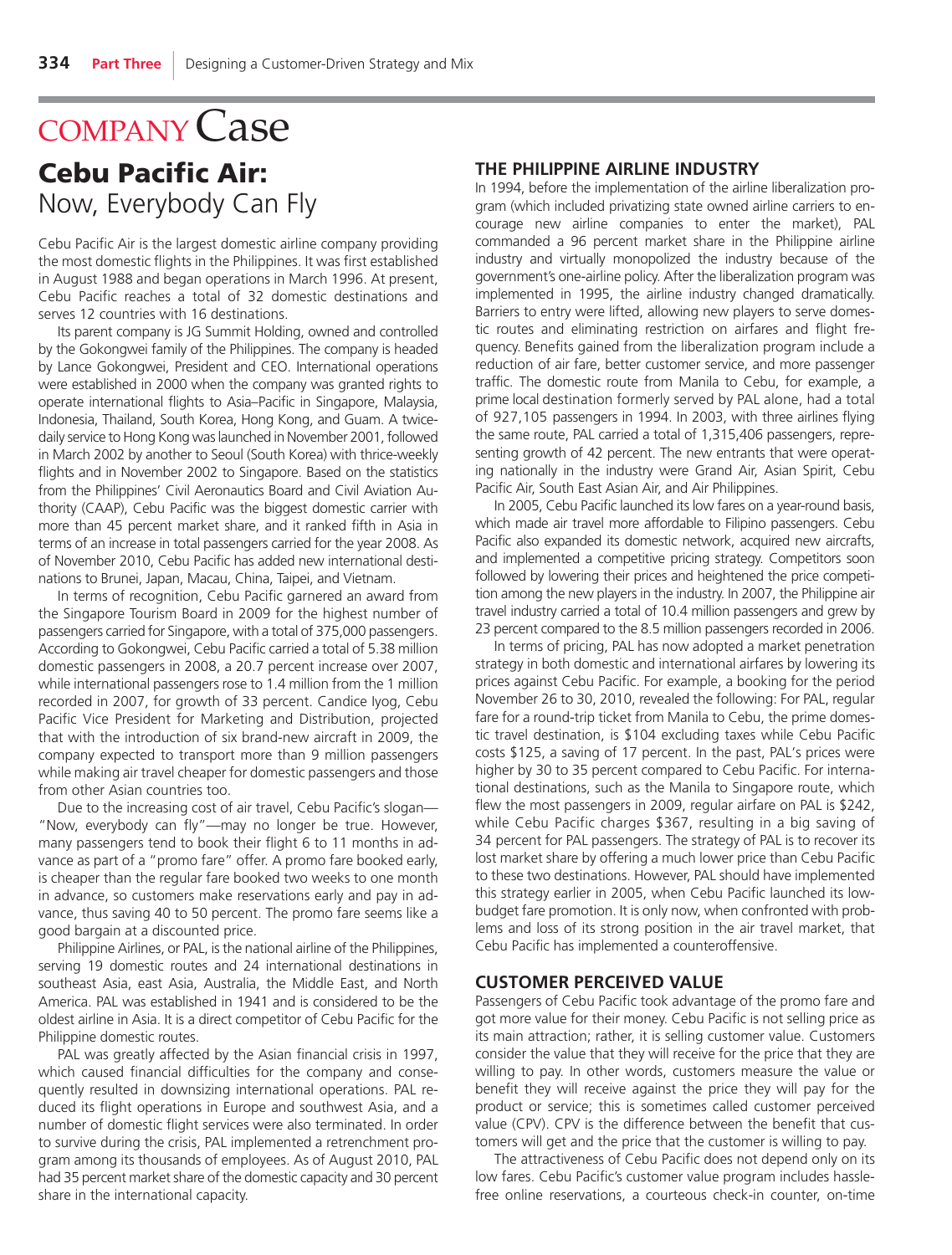### COMPANY Case **Cebu Pacific Air:** Now, Everybody Can Fly

Cebu Pacific Air is the largest domestic airline company providing the most domestic flights in the Philippines. It was first established in August 1988 and began operations in March 1996. At present, Cebu Pacific reaches a total of 32 domestic destinations and serves 12 countries with 16 destinations.

Its parent company is JG Summit Holding, owned and controlled by the Gokongwei family of the Philippines. The company is headed by Lance Gokongwei, President and CEO. International operations were established in 2000 when the company was granted rights to operate international flights to Asia–Pacific in Singapore, Malaysia, Indonesia, Thailand, South Korea, Hong Kong, and Guam. A twicedaily service to Hong Kong was launched in November 2001, followed in March 2002 by another to Seoul (South Korea) with thrice-weekly flights and in November 2002 to Singapore. Based on the statistics from the Philippines' Civil Aeronautics Board and Civil Aviation Authority (CAAP), Cebu Pacific was the biggest domestic carrier with more than 45 percent market share, and it ranked fifth in Asia in terms of an increase in total passengers carried for the year 2008. As of November 2010, Cebu Pacific has added new international destinations to Brunei, Japan, Macau, China, Taipei, and Vietnam.

In terms of recognition, Cebu Pacific garnered an award from the Singapore Tourism Board in 2009 for the highest number of passengers carried for Singapore, with a total of 375,000 passengers. According to Gokongwei, Cebu Pacific carried a total of 5.38 million domestic passengers in 2008, a 20.7 percent increase over 2007, while international passengers rose to 1.4 million from the 1 million recorded in 2007, for growth of 33 percent. Candice Iyog, Cebu Pacific Vice President for Marketing and Distribution, projected that with the introduction of six brand-new aircraft in 2009, the company expected to transport more than 9 million passengers while making air travel cheaper for domestic passengers and those from other Asian countries too.

Due to the increasing cost of air travel, Cebu Pacific's slogan— "Now, everybody can fly"—may no longer be true. However, many passengers tend to book their flight 6 to 11 months in advance as part of a "promo fare" offer. A promo fare booked early, is cheaper than the regular fare booked two weeks to one month in advance, so customers make reservations early and pay in advance, thus saving 40 to 50 percent. The promo fare seems like a good bargain at a discounted price.

Philippine Airlines, or PAL, is the national airline of the Philippines, serving 19 domestic routes and 24 international destinations in southeast Asia, east Asia, Australia, the Middle East, and North America. PAL was established in 1941 and is considered to be the oldest airline in Asia. It is a direct competitor of Cebu Pacific for the Philippine domestic routes.

PAL was greatly affected by the Asian financial crisis in 1997, which caused financial difficulties for the company and consequently resulted in downsizing international operations. PAL reduced its flight operations in Europe and southwest Asia, and a number of domestic flight services were also terminated. In order to survive during the crisis, PAL implemented a retrenchment program among its thousands of employees. As of August 2010, PAL had 35 percent market share of the domestic capacity and 30 percent share in the international capacity.

#### **THE PHILIPPINE AIRLINE INDUSTRY**

In 1994, before the implementation of the airline liberalization program (which included privatizing state owned airline carriers to encourage new airline companies to enter the market), PAL commanded a 96 percent market share in the Philippine airline industry and virtually monopolized the industry because of the government's one-airline policy. After the liberalization program was implemented in 1995, the airline industry changed dramatically. Barriers to entry were lifted, allowing new players to serve domestic routes and eliminating restriction on airfares and flight frequency. Benefits gained from the liberalization program include a reduction of air fare, better customer service, and more passenger traffic. The domestic route from Manila to Cebu, for example, a prime local destination formerly served by PAL alone, had a total of 927,105 passengers in 1994. In 2003, with three airlines flying the same route, PAL carried a total of 1,315,406 passengers, representing growth of 42 percent. The new entrants that were operating nationally in the industry were Grand Air, Asian Spirit, Cebu Pacific Air, South East Asian Air, and Air Philippines.

In 2005, Cebu Pacific launched its low fares on a year-round basis, which made air travel more affordable to Filipino passengers. Cebu Pacific also expanded its domestic network, acquired new aircrafts, and implemented a competitive pricing strategy. Competitors soon followed by lowering their prices and heightened the price competition among the new players in the industry. In 2007, the Philippine air travel industry carried a total of 10.4 million passengers and grew by 23 percent compared to the 8.5 million passengers recorded in 2006.

In terms of pricing, PAL has now adopted a market penetration strategy in both domestic and international airfares by lowering its prices against Cebu Pacific. For example, a booking for the period November 26 to 30, 2010, revealed the following: For PAL, regular fare for a round-trip ticket from Manila to Cebu, the prime domestic travel destination, is \$104 excluding taxes while Cebu Pacific costs \$125, a saving of 17 percent. In the past, PAL's prices were higher by 30 to 35 percent compared to Cebu Pacific. For international destinations, such as the Manila to Singapore route, which flew the most passengers in 2009, regular airfare on PAL is \$242, while Cebu Pacific charges \$367, resulting in a big saving of 34 percent for PAL passengers. The strategy of PAL is to recover its lost market share by offering a much lower price than Cebu Pacific to these two destinations. However, PAL should have implemented this strategy earlier in 2005, when Cebu Pacific launched its lowbudget fare promotion. It is only now, when confronted with problems and loss of its strong position in the air travel market, that Cebu Pacific has implemented a counteroffensive.

#### **CUSTOMER PERCEIVED VALUE**

Passengers of Cebu Pacific took advantage of the promo fare and got more value for their money. Cebu Pacific is not selling price as its main attraction; rather, it is selling customer value. Customers consider the value that they will receive for the price that they are willing to pay. In other words, customers measure the value or benefit they will receive against the price they will pay for the product or service; this is sometimes called customer perceived value (CPV). CPV is the difference between the benefit that customers will get and the price that the customer is willing to pay.

The attractiveness of Cebu Pacific does not depend only on its low fares. Cebu Pacific's customer value program includes hasslefree online reservations, a courteous check-in counter, on-time